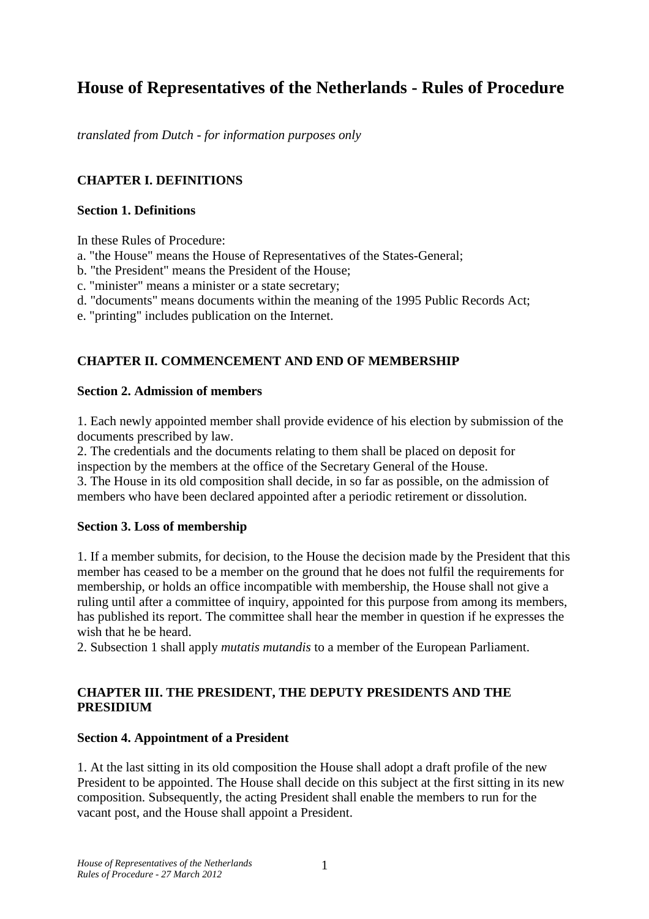# **House of Representatives of the Netherlands - Rules of Procedure**

*translated from Dutch - for information purposes only* 

### **CHAPTER I. DEFINITIONS**

#### **Section 1. Definitions**

In these Rules of Procedure:

a. "the House" means the House of Representatives of the States-General;

b. "the President" means the President of the House;

c. "minister" means a minister or a state secretary;

d. "documents" means documents within the meaning of the 1995 Public Records Act;

e. "printing" includes publication on the Internet.

### **CHAPTER II. COMMENCEMENT AND END OF MEMBERSHIP**

#### **Section 2. Admission of members**

1. Each newly appointed member shall provide evidence of his election by submission of the documents prescribed by law.

2. The credentials and the documents relating to them shall be placed on deposit for inspection by the members at the office of the Secretary General of the House.

3. The House in its old composition shall decide, in so far as possible, on the admission of members who have been declared appointed after a periodic retirement or dissolution.

#### **Section 3. Loss of membership**

1. If a member submits, for decision, to the House the decision made by the President that this member has ceased to be a member on the ground that he does not fulfil the requirements for membership, or holds an office incompatible with membership, the House shall not give a ruling until after a committee of inquiry, appointed for this purpose from among its members, has published its report. The committee shall hear the member in question if he expresses the wish that he be heard.

2. Subsection 1 shall apply *mutatis mutandis* to a member of the European Parliament.

### **CHAPTER III. THE PRESIDENT, THE DEPUTY PRESIDENTS AND THE PRESIDIUM**

#### **Section 4. Appointment of a President**

1. At the last sitting in its old composition the House shall adopt a draft profile of the new President to be appointed. The House shall decide on this subject at the first sitting in its new composition. Subsequently, the acting President shall enable the members to run for the vacant post, and the House shall appoint a President.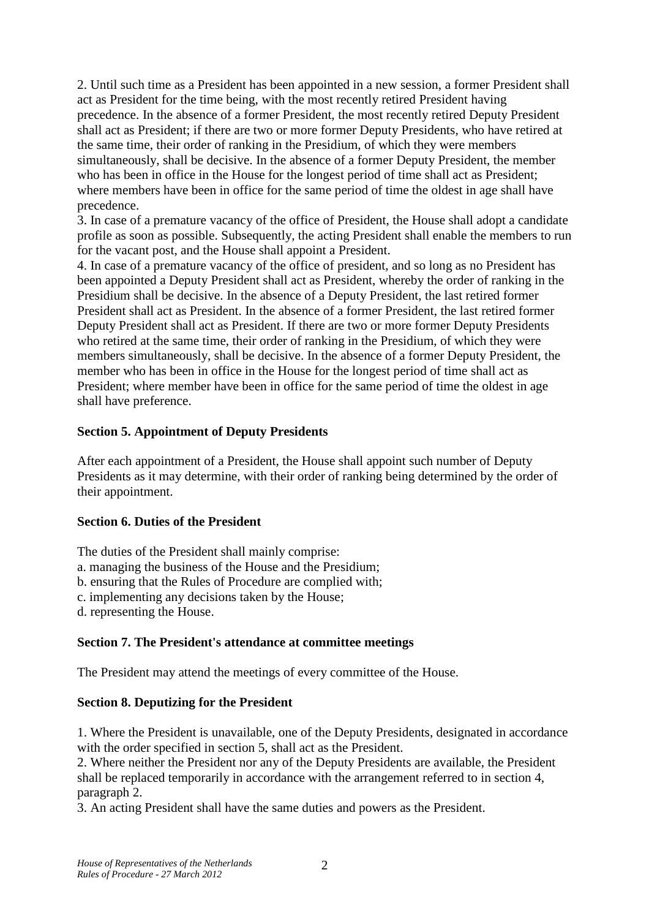2. Until such time as a President has been appointed in a new session, a former President shall act as President for the time being, with the most recently retired President having precedence. In the absence of a former President, the most recently retired Deputy President shall act as President; if there are two or more former Deputy Presidents, who have retired at the same time, their order of ranking in the Presidium, of which they were members simultaneously, shall be decisive. In the absence of a former Deputy President, the member who has been in office in the House for the longest period of time shall act as President; where members have been in office for the same period of time the oldest in age shall have precedence.

3. In case of a premature vacancy of the office of President, the House shall adopt a candidate profile as soon as possible. Subsequently, the acting President shall enable the members to run for the vacant post, and the House shall appoint a President.

4. In case of a premature vacancy of the office of president, and so long as no President has been appointed a Deputy President shall act as President, whereby the order of ranking in the Presidium shall be decisive. In the absence of a Deputy President, the last retired former President shall act as President. In the absence of a former President, the last retired former Deputy President shall act as President. If there are two or more former Deputy Presidents who retired at the same time, their order of ranking in the Presidium, of which they were members simultaneously, shall be decisive. In the absence of a former Deputy President, the member who has been in office in the House for the longest period of time shall act as President; where member have been in office for the same period of time the oldest in age shall have preference.

#### **Section 5. Appointment of Deputy Presidents**

After each appointment of a President, the House shall appoint such number of Deputy Presidents as it may determine, with their order of ranking being determined by the order of their appointment.

#### **Section 6. Duties of the President**

The duties of the President shall mainly comprise: a. managing the business of the House and the Presidium; b. ensuring that the Rules of Procedure are complied with; c. implementing any decisions taken by the House; d. representing the House.

## **Section 7. The President's attendance at committee meetings**

The President may attend the meetings of every committee of the House.

## **Section 8. Deputizing for the President**

1. Where the President is unavailable, one of the Deputy Presidents, designated in accordance with the order specified in section 5, shall act as the President.

2. Where neither the President nor any of the Deputy Presidents are available, the President shall be replaced temporarily in accordance with the arrangement referred to in section 4, paragraph 2.

3. An acting President shall have the same duties and powers as the President.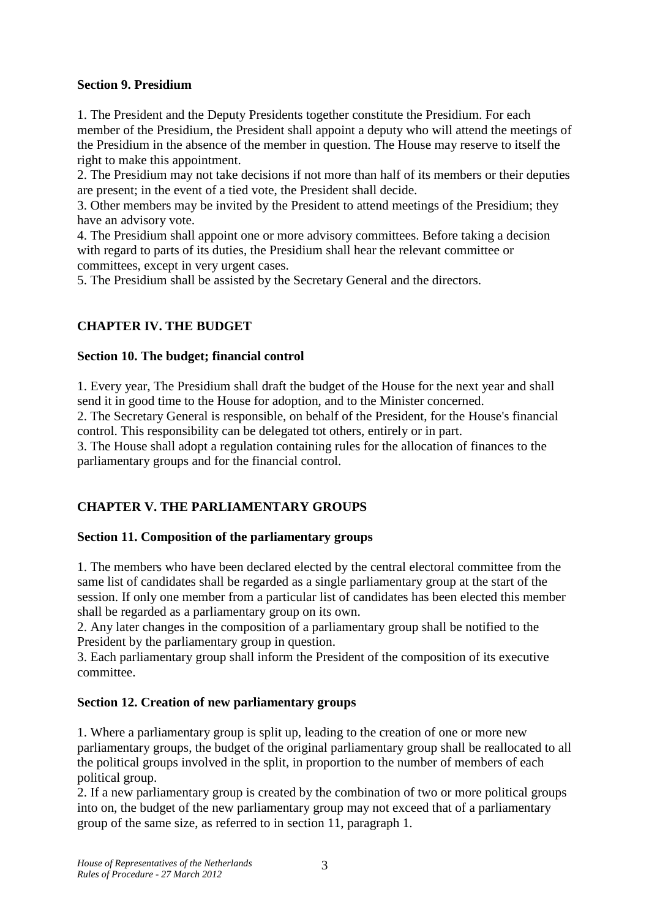### **Section 9. Presidium**

1. The President and the Deputy Presidents together constitute the Presidium. For each member of the Presidium, the President shall appoint a deputy who will attend the meetings of the Presidium in the absence of the member in question. The House may reserve to itself the right to make this appointment.

2. The Presidium may not take decisions if not more than half of its members or their deputies are present; in the event of a tied vote, the President shall decide.

3. Other members may be invited by the President to attend meetings of the Presidium; they have an advisory vote.

4. The Presidium shall appoint one or more advisory committees. Before taking a decision with regard to parts of its duties, the Presidium shall hear the relevant committee or committees, except in very urgent cases.

5. The Presidium shall be assisted by the Secretary General and the directors.

## **CHAPTER IV. THE BUDGET**

#### **Section 10. The budget; financial control**

1. Every year, The Presidium shall draft the budget of the House for the next year and shall send it in good time to the House for adoption, and to the Minister concerned.

2. The Secretary General is responsible, on behalf of the President, for the House's financial control. This responsibility can be delegated tot others, entirely or in part.

3. The House shall adopt a regulation containing rules for the allocation of finances to the parliamentary groups and for the financial control.

## **CHAPTER V. THE PARLIAMENTARY GROUPS**

#### **Section 11. Composition of the parliamentary groups**

1. The members who have been declared elected by the central electoral committee from the same list of candidates shall be regarded as a single parliamentary group at the start of the session. If only one member from a particular list of candidates has been elected this member shall be regarded as a parliamentary group on its own.

2. Any later changes in the composition of a parliamentary group shall be notified to the President by the parliamentary group in question.

3. Each parliamentary group shall inform the President of the composition of its executive committee.

## **Section 12. Creation of new parliamentary groups**

1. Where a parliamentary group is split up, leading to the creation of one or more new parliamentary groups, the budget of the original parliamentary group shall be reallocated to all the political groups involved in the split, in proportion to the number of members of each political group.

2. If a new parliamentary group is created by the combination of two or more political groups into on, the budget of the new parliamentary group may not exceed that of a parliamentary group of the same size, as referred to in section 11, paragraph 1.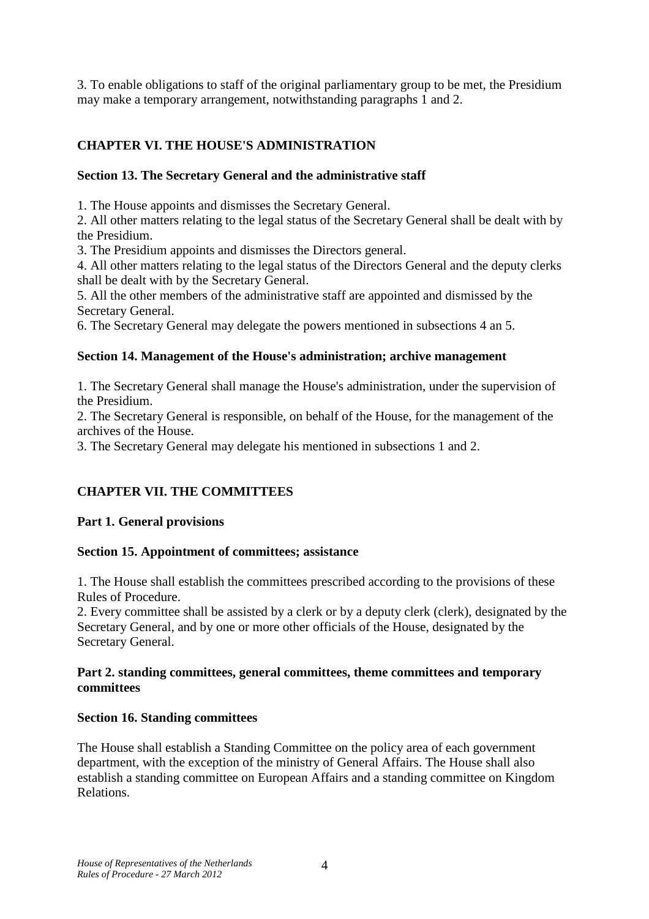3. To enable obligations to staff of the original parliamentary group to be met, the Presidium may make a temporary arrangement, notwithstanding paragraphs 1 and 2.

### **CHAPTER VI. THE HOUSE'S ADMINISTRATION**

#### **Section 13. The Secretary General and the administrative staff**

1. The House appoints and dismisses the Secretary General.

2. All other matters relating to the legal status of the Secretary General shall be dealt with by the Presidium.

3. The Presidium appoints and dismisses the Directors general.

4. All other matters relating to the legal status of the Directors General and the deputy clerks shall be dealt with by the Secretary General.

5. All the other members of the administrative staff are appointed and dismissed by the Secretary General.

6. The Secretary General may delegate the powers mentioned in subsections 4 an 5.

#### **Section 14. Management of the House's administration; archive management**

1. The Secretary General shall manage the House's administration, under the supervision of the Presidium.

2. The Secretary General is responsible, on behalf of the House, for the management of the archives of the House.

3. The Secretary General may delegate his mentioned in subsections 1 and 2.

## **CHAPTER VII. THE COMMITTEES**

#### **Part 1. General provisions**

#### **Section 15. Appointment of committees; assistance**

1. The House shall establish the committees prescribed according to the provisions of these Rules of Procedure.

2. Every committee shall be assisted by a clerk or by a deputy clerk (clerk), designated by the Secretary General, and by one or more other officials of the House, designated by the Secretary General.

#### **Part 2. standing committees, general committees, theme committees and temporary committees**

#### **Section 16. Standing committees**

The House shall establish a Standing Committee on the policy area of each government department, with the exception of the ministry of General Affairs. The House shall also establish a standing committee on European Affairs and a standing committee on Kingdom Relations.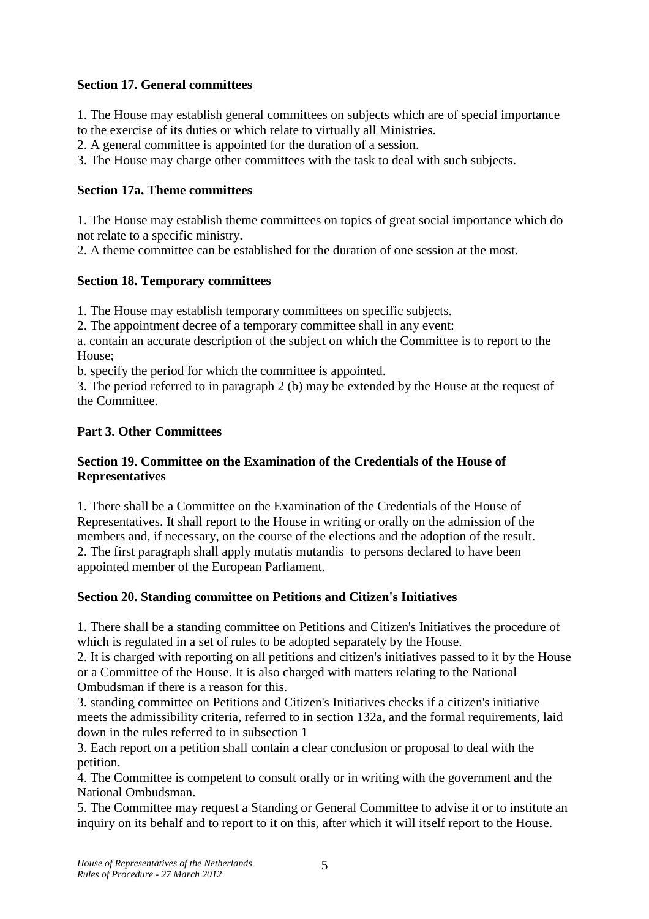### **Section 17. General committees**

1. The House may establish general committees on subjects which are of special importance

to the exercise of its duties or which relate to virtually all Ministries.

2. A general committee is appointed for the duration of a session.

3. The House may charge other committees with the task to deal with such subjects.

### **Section 17a. Theme committees**

1. The House may establish theme committees on topics of great social importance which do not relate to a specific ministry.

2. A theme committee can be established for the duration of one session at the most.

## **Section 18. Temporary committees**

1. The House may establish temporary committees on specific subjects.

2. The appointment decree of a temporary committee shall in any event:

a. contain an accurate description of the subject on which the Committee is to report to the House;

b. specify the period for which the committee is appointed.

3. The period referred to in paragraph 2 (b) may be extended by the House at the request of the Committee.

## **Part 3. Other Committees**

### **Section 19. Committee on the Examination of the Credentials of the House of Representatives**

1. There shall be a Committee on the Examination of the Credentials of the House of Representatives. It shall report to the House in writing or orally on the admission of the members and, if necessary, on the course of the elections and the adoption of the result. 2. The first paragraph shall apply mutatis mutandis to persons declared to have been appointed member of the European Parliament.

## **Section 20. Standing committee on Petitions and Citizen's Initiatives**

1. There shall be a standing committee on Petitions and Citizen's Initiatives the procedure of which is regulated in a set of rules to be adopted separately by the House.

2. It is charged with reporting on all petitions and citizen's initiatives passed to it by the House or a Committee of the House. It is also charged with matters relating to the National Ombudsman if there is a reason for this.

3. standing committee on Petitions and Citizen's Initiatives checks if a citizen's initiative meets the admissibility criteria, referred to in section 132a, and the formal requirements, laid down in the rules referred to in subsection 1

3. Each report on a petition shall contain a clear conclusion or proposal to deal with the petition.

4. The Committee is competent to consult orally or in writing with the government and the National Ombudsman.

5. The Committee may request a Standing or General Committee to advise it or to institute an inquiry on its behalf and to report to it on this, after which it will itself report to the House.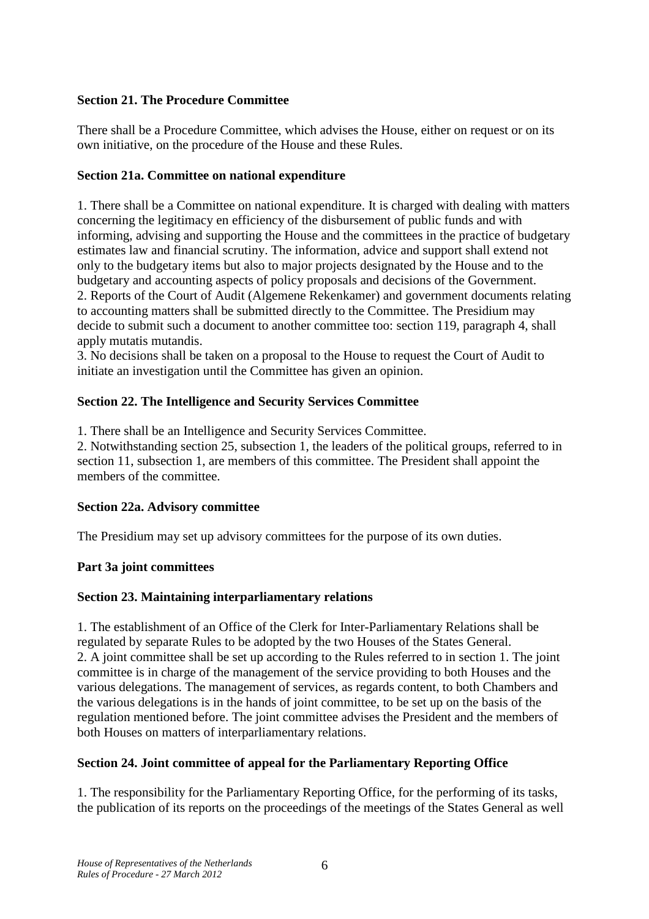### **Section 21. The Procedure Committee**

There shall be a Procedure Committee, which advises the House, either on request or on its own initiative, on the procedure of the House and these Rules.

#### **Section 21a. Committee on national expenditure**

1. There shall be a Committee on national expenditure. It is charged with dealing with matters concerning the legitimacy en efficiency of the disbursement of public funds and with informing, advising and supporting the House and the committees in the practice of budgetary estimates law and financial scrutiny. The information, advice and support shall extend not only to the budgetary items but also to major projects designated by the House and to the budgetary and accounting aspects of policy proposals and decisions of the Government. 2. Reports of the Court of Audit (Algemene Rekenkamer) and government documents relating to accounting matters shall be submitted directly to the Committee. The Presidium may decide to submit such a document to another committee too: section 119, paragraph 4, shall apply mutatis mutandis.

3. No decisions shall be taken on a proposal to the House to request the Court of Audit to initiate an investigation until the Committee has given an opinion.

### **Section 22. The Intelligence and Security Services Committee**

1. There shall be an Intelligence and Security Services Committee.

2. Notwithstanding section 25, subsection 1, the leaders of the political groups, referred to in section 11, subsection 1, are members of this committee. The President shall appoint the members of the committee.

#### **Section 22a. Advisory committee**

The Presidium may set up advisory committees for the purpose of its own duties.

#### **Part 3a joint committees**

#### **Section 23. Maintaining interparliamentary relations**

1. The establishment of an Office of the Clerk for Inter-Parliamentary Relations shall be regulated by separate Rules to be adopted by the two Houses of the States General. 2. A joint committee shall be set up according to the Rules referred to in section 1. The joint committee is in charge of the management of the service providing to both Houses and the various delegations. The management of services, as regards content, to both Chambers and the various delegations is in the hands of joint committee, to be set up on the basis of the regulation mentioned before. The joint committee advises the President and the members of both Houses on matters of interparliamentary relations.

## **Section 24. Joint committee of appeal for the Parliamentary Reporting Office**

1. The responsibility for the Parliamentary Reporting Office, for the performing of its tasks, the publication of its reports on the proceedings of the meetings of the States General as well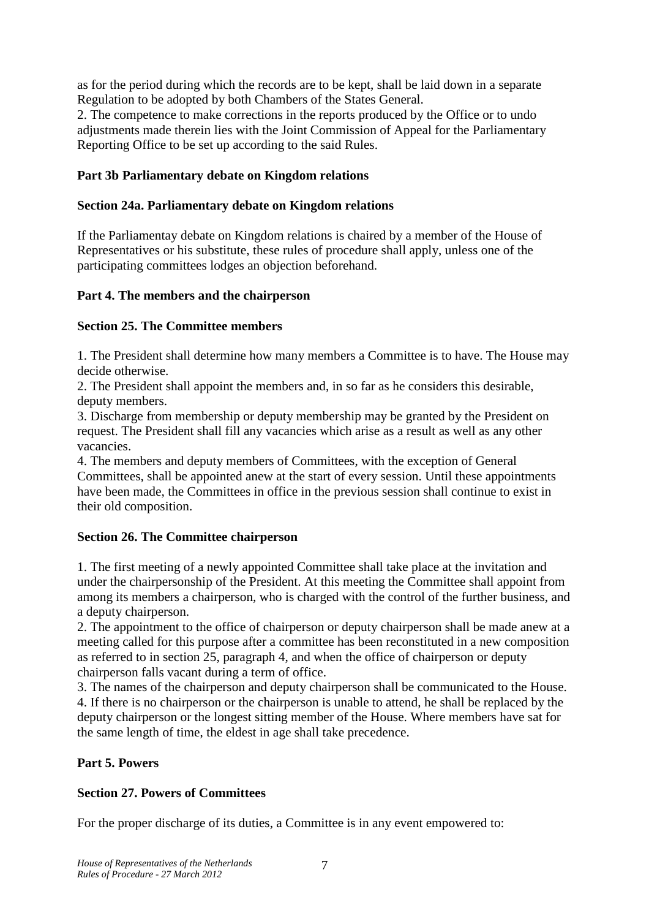as for the period during which the records are to be kept, shall be laid down in a separate Regulation to be adopted by both Chambers of the States General.

2. The competence to make corrections in the reports produced by the Office or to undo adjustments made therein lies with the Joint Commission of Appeal for the Parliamentary Reporting Office to be set up according to the said Rules.

### **Part 3b Parliamentary debate on Kingdom relations**

#### **Section 24a. Parliamentary debate on Kingdom relations**

If the Parliamentay debate on Kingdom relations is chaired by a member of the House of Representatives or his substitute, these rules of procedure shall apply, unless one of the participating committees lodges an objection beforehand.

#### **Part 4. The members and the chairperson**

#### **Section 25. The Committee members**

1. The President shall determine how many members a Committee is to have. The House may decide otherwise.

2. The President shall appoint the members and, in so far as he considers this desirable, deputy members.

3. Discharge from membership or deputy membership may be granted by the President on request. The President shall fill any vacancies which arise as a result as well as any other vacancies.

4. The members and deputy members of Committees, with the exception of General Committees, shall be appointed anew at the start of every session. Until these appointments have been made, the Committees in office in the previous session shall continue to exist in their old composition.

#### **Section 26. The Committee chairperson**

1. The first meeting of a newly appointed Committee shall take place at the invitation and under the chairpersonship of the President. At this meeting the Committee shall appoint from among its members a chairperson, who is charged with the control of the further business, and a deputy chairperson.

2. The appointment to the office of chairperson or deputy chairperson shall be made anew at a meeting called for this purpose after a committee has been reconstituted in a new composition as referred to in section 25, paragraph 4, and when the office of chairperson or deputy chairperson falls vacant during a term of office.

3. The names of the chairperson and deputy chairperson shall be communicated to the House. 4. If there is no chairperson or the chairperson is unable to attend, he shall be replaced by the deputy chairperson or the longest sitting member of the House. Where members have sat for the same length of time, the eldest in age shall take precedence.

#### **Part 5. Powers**

#### **Section 27. Powers of Committees**

For the proper discharge of its duties, a Committee is in any event empowered to: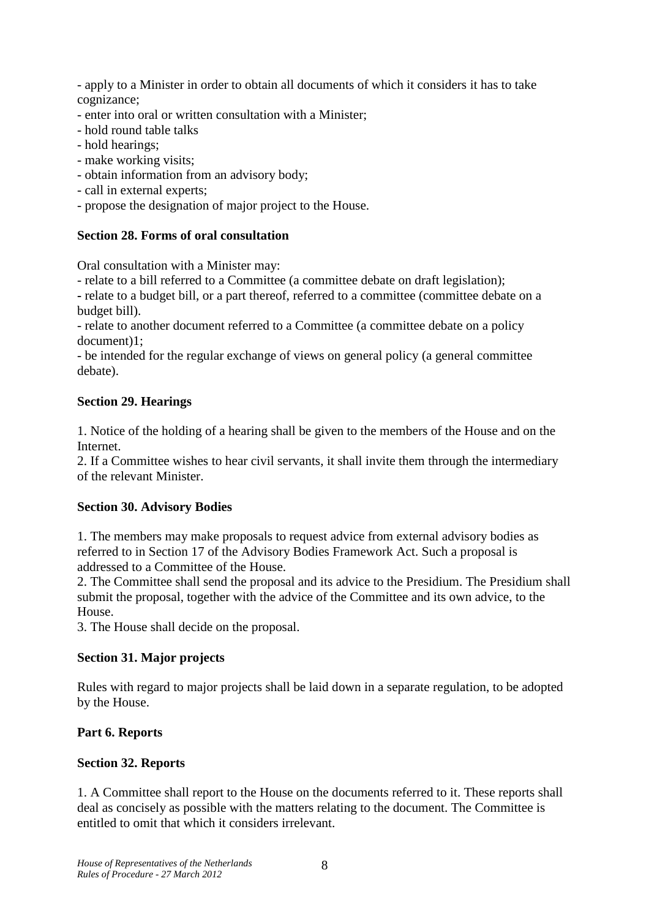- apply to a Minister in order to obtain all documents of which it considers it has to take cognizance;

- enter into oral or written consultation with a Minister;
- hold round table talks
- hold hearings;
- make working visits;
- obtain information from an advisory body;
- call in external experts;
- propose the designation of major project to the House.

#### **Section 28. Forms of oral consultation**

Oral consultation with a Minister may:

- relate to a bill referred to a Committee (a committee debate on draft legislation);

**-** relate to a budget bill, or a part thereof, referred to a committee (committee debate on a budget bill).

- relate to another document referred to a Committee (a committee debate on a policy document)1;

- be intended for the regular exchange of views on general policy (a general committee debate).

#### **Section 29. Hearings**

1. Notice of the holding of a hearing shall be given to the members of the House and on the Internet.

2. If a Committee wishes to hear civil servants, it shall invite them through the intermediary of the relevant Minister.

#### **Section 30. Advisory Bodies**

1. The members may make proposals to request advice from external advisory bodies as referred to in Section 17 of the Advisory Bodies Framework Act. Such a proposal is addressed to a Committee of the House.

2. The Committee shall send the proposal and its advice to the Presidium. The Presidium shall submit the proposal, together with the advice of the Committee and its own advice, to the House.

3. The House shall decide on the proposal.

#### **Section 31. Major projects**

Rules with regard to major projects shall be laid down in a separate regulation, to be adopted by the House.

#### **Part 6. Reports**

#### **Section 32. Reports**

1. A Committee shall report to the House on the documents referred to it. These reports shall deal as concisely as possible with the matters relating to the document. The Committee is entitled to omit that which it considers irrelevant.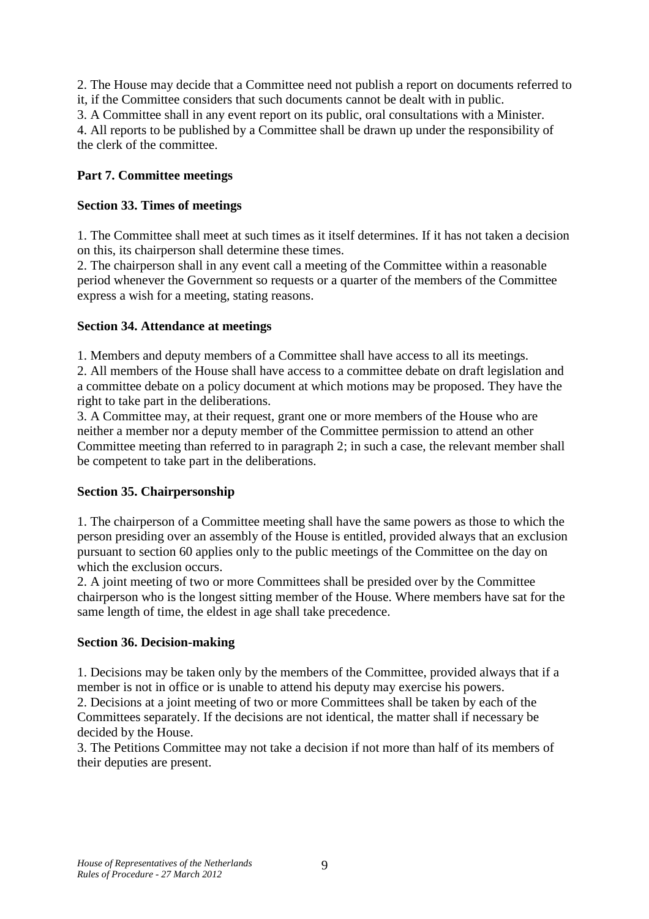2. The House may decide that a Committee need not publish a report on documents referred to it, if the Committee considers that such documents cannot be dealt with in public.

3. A Committee shall in any event report on its public, oral consultations with a Minister.

4. All reports to be published by a Committee shall be drawn up under the responsibility of the clerk of the committee.

### **Part 7. Committee meetings**

### **Section 33. Times of meetings**

1. The Committee shall meet at such times as it itself determines. If it has not taken a decision on this, its chairperson shall determine these times.

2. The chairperson shall in any event call a meeting of the Committee within a reasonable period whenever the Government so requests or a quarter of the members of the Committee express a wish for a meeting, stating reasons.

### **Section 34. Attendance at meetings**

1. Members and deputy members of a Committee shall have access to all its meetings.

2. All members of the House shall have access to a committee debate on draft legislation and a committee debate on a policy document at which motions may be proposed. They have the right to take part in the deliberations.

3. A Committee may, at their request, grant one or more members of the House who are neither a member nor a deputy member of the Committee permission to attend an other Committee meeting than referred to in paragraph 2; in such a case, the relevant member shall be competent to take part in the deliberations.

#### **Section 35. Chairpersonship**

1. The chairperson of a Committee meeting shall have the same powers as those to which the person presiding over an assembly of the House is entitled, provided always that an exclusion pursuant to section 60 applies only to the public meetings of the Committee on the day on which the exclusion occurs.

2. A joint meeting of two or more Committees shall be presided over by the Committee chairperson who is the longest sitting member of the House. Where members have sat for the same length of time, the eldest in age shall take precedence.

#### **Section 36. Decision-making**

1. Decisions may be taken only by the members of the Committee, provided always that if a member is not in office or is unable to attend his deputy may exercise his powers.

2. Decisions at a joint meeting of two or more Committees shall be taken by each of the Committees separately. If the decisions are not identical, the matter shall if necessary be decided by the House.

3. The Petitions Committee may not take a decision if not more than half of its members of their deputies are present.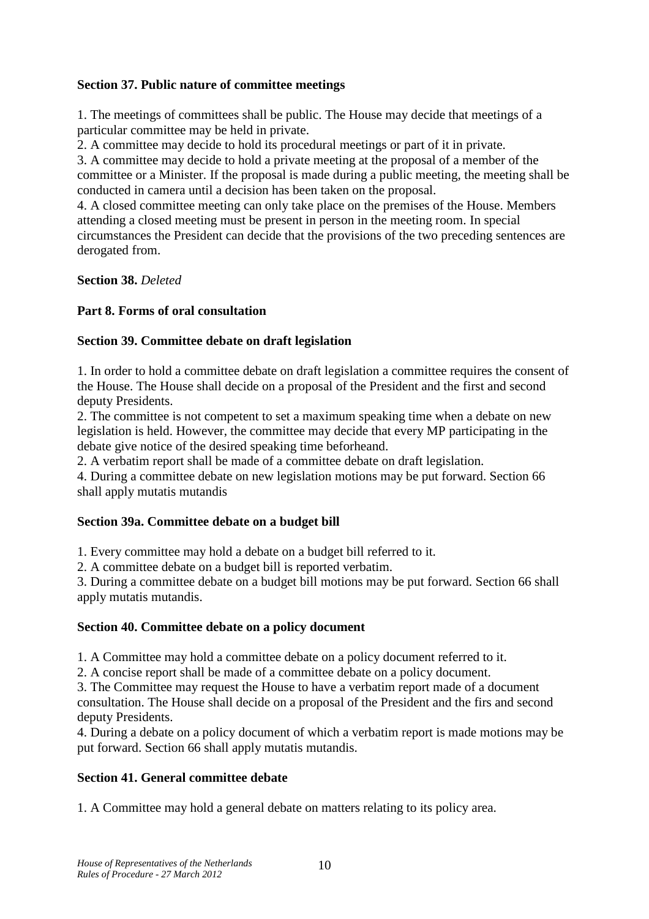### **Section 37. Public nature of committee meetings**

1. The meetings of committees shall be public. The House may decide that meetings of a particular committee may be held in private.

2. A committee may decide to hold its procedural meetings or part of it in private.

3. A committee may decide to hold a private meeting at the proposal of a member of the committee or a Minister. If the proposal is made during a public meeting, the meeting shall be conducted in camera until a decision has been taken on the proposal.

4. A closed committee meeting can only take place on the premises of the House. Members attending a closed meeting must be present in person in the meeting room. In special circumstances the President can decide that the provisions of the two preceding sentences are derogated from.

**Section 38.** *Deleted* 

## **Part 8. Forms of oral consultation**

### **Section 39. Committee debate on draft legislation**

1. In order to hold a committee debate on draft legislation a committee requires the consent of the House. The House shall decide on a proposal of the President and the first and second deputy Presidents.

2. The committee is not competent to set a maximum speaking time when a debate on new legislation is held. However, the committee may decide that every MP participating in the debate give notice of the desired speaking time beforheand.

2. A verbatim report shall be made of a committee debate on draft legislation.

4. During a committee debate on new legislation motions may be put forward. Section 66 shall apply mutatis mutandis

#### **Section 39a. Committee debate on a budget bill**

1. Every committee may hold a debate on a budget bill referred to it.

2. A committee debate on a budget bill is reported verbatim.

3. During a committee debate on a budget bill motions may be put forward. Section 66 shall apply mutatis mutandis.

#### **Section 40. Committee debate on a policy document**

1. A Committee may hold a committee debate on a policy document referred to it.

2. A concise report shall be made of a committee debate on a policy document.

3. The Committee may request the House to have a verbatim report made of a document consultation. The House shall decide on a proposal of the President and the firs and second

deputy Presidents.

4. During a debate on a policy document of which a verbatim report is made motions may be put forward. Section 66 shall apply mutatis mutandis.

## **Section 41. General committee debate**

1. A Committee may hold a general debate on matters relating to its policy area.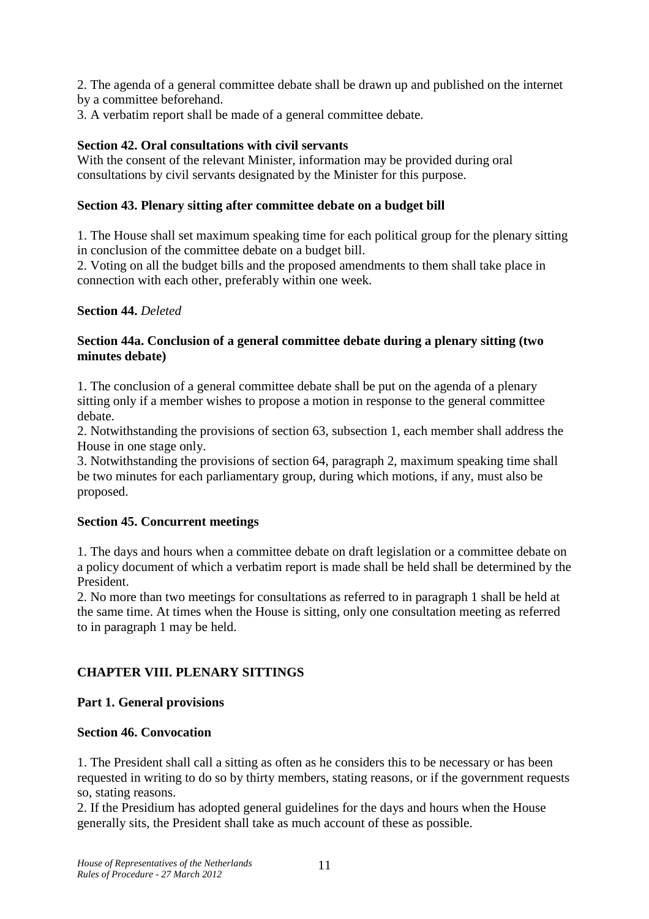2. The agenda of a general committee debate shall be drawn up and published on the internet by a committee beforehand.

3. A verbatim report shall be made of a general committee debate.

### **Section 42. Oral consultations with civil servants**

With the consent of the relevant Minister, information may be provided during oral consultations by civil servants designated by the Minister for this purpose.

### **Section 43. Plenary sitting after committee debate on a budget bill**

1. The House shall set maximum speaking time for each political group for the plenary sitting in conclusion of the committee debate on a budget bill.

2. Voting on all the budget bills and the proposed amendments to them shall take place in connection with each other, preferably within one week.

#### **Section 44.** *Deleted*

### **Section 44a. Conclusion of a general committee debate during a plenary sitting (two minutes debate)**

1. The conclusion of a general committee debate shall be put on the agenda of a plenary sitting only if a member wishes to propose a motion in response to the general committee debate.

2. Notwithstanding the provisions of section 63, subsection 1, each member shall address the House in one stage only.

3. Notwithstanding the provisions of section 64, paragraph 2, maximum speaking time shall be two minutes for each parliamentary group, during which motions, if any, must also be proposed.

#### **Section 45. Concurrent meetings**

1. The days and hours when a committee debate on draft legislation or a committee debate on a policy document of which a verbatim report is made shall be held shall be determined by the President.

2. No more than two meetings for consultations as referred to in paragraph 1 shall be held at the same time. At times when the House is sitting, only one consultation meeting as referred to in paragraph 1 may be held.

## **CHAPTER VIII. PLENARY SITTINGS**

## **Part 1. General provisions**

#### **Section 46. Convocation**

1. The President shall call a sitting as often as he considers this to be necessary or has been requested in writing to do so by thirty members, stating reasons, or if the government requests so, stating reasons.

2. If the Presidium has adopted general guidelines for the days and hours when the House generally sits, the President shall take as much account of these as possible.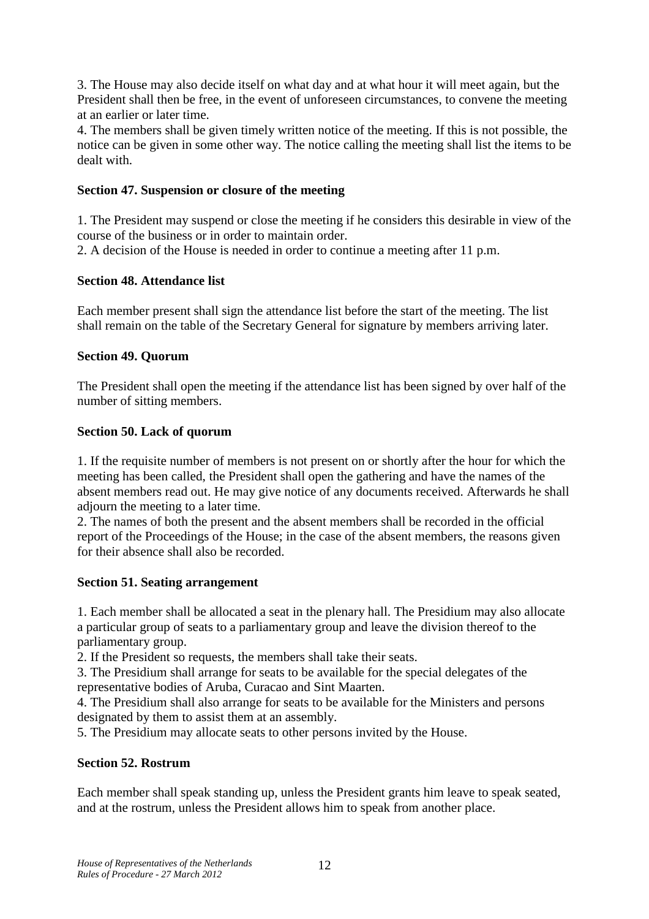3. The House may also decide itself on what day and at what hour it will meet again, but the President shall then be free, in the event of unforeseen circumstances, to convene the meeting at an earlier or later time.

4. The members shall be given timely written notice of the meeting. If this is not possible, the notice can be given in some other way. The notice calling the meeting shall list the items to be dealt with.

### **Section 47. Suspension or closure of the meeting**

1. The President may suspend or close the meeting if he considers this desirable in view of the course of the business or in order to maintain order.

2. A decision of the House is needed in order to continue a meeting after 11 p.m.

### **Section 48. Attendance list**

Each member present shall sign the attendance list before the start of the meeting. The list shall remain on the table of the Secretary General for signature by members arriving later.

### **Section 49. Quorum**

The President shall open the meeting if the attendance list has been signed by over half of the number of sitting members.

### **Section 50. Lack of quorum**

1. If the requisite number of members is not present on or shortly after the hour for which the meeting has been called, the President shall open the gathering and have the names of the absent members read out. He may give notice of any documents received. Afterwards he shall adjourn the meeting to a later time.

2. The names of both the present and the absent members shall be recorded in the official report of the Proceedings of the House; in the case of the absent members, the reasons given for their absence shall also be recorded.

#### **Section 51. Seating arrangement**

1. Each member shall be allocated a seat in the plenary hall. The Presidium may also allocate a particular group of seats to a parliamentary group and leave the division thereof to the parliamentary group.

2. If the President so requests, the members shall take their seats.

3. The Presidium shall arrange for seats to be available for the special delegates of the representative bodies of Aruba, Curacao and Sint Maarten.

4. The Presidium shall also arrange for seats to be available for the Ministers and persons designated by them to assist them at an assembly.

5. The Presidium may allocate seats to other persons invited by the House.

## **Section 52. Rostrum**

Each member shall speak standing up, unless the President grants him leave to speak seated, and at the rostrum, unless the President allows him to speak from another place.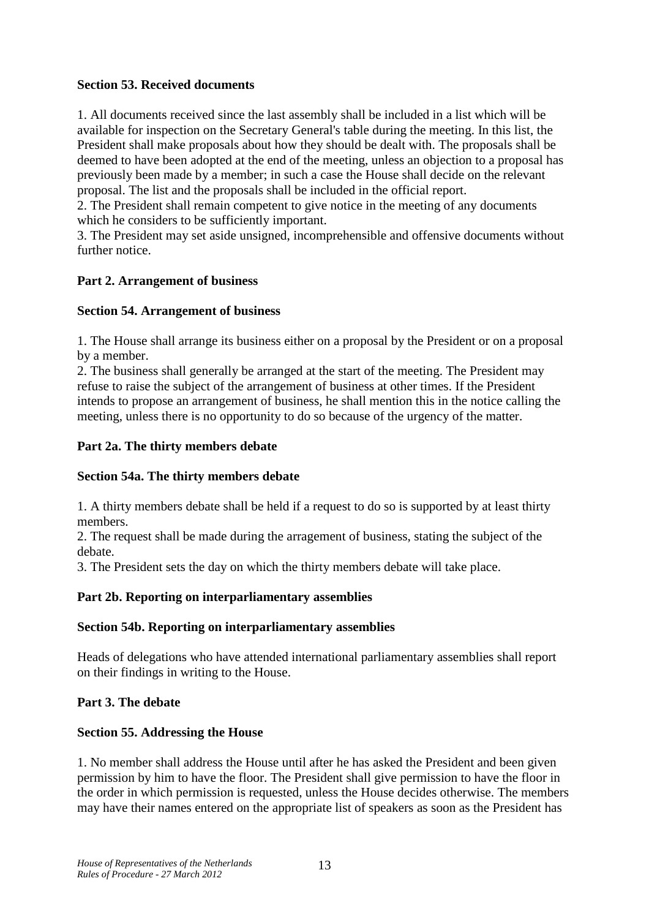### **Section 53. Received documents**

1. All documents received since the last assembly shall be included in a list which will be available for inspection on the Secretary General's table during the meeting. In this list, the President shall make proposals about how they should be dealt with. The proposals shall be deemed to have been adopted at the end of the meeting, unless an objection to a proposal has previously been made by a member; in such a case the House shall decide on the relevant proposal. The list and the proposals shall be included in the official report.

2. The President shall remain competent to give notice in the meeting of any documents which he considers to be sufficiently important.

3. The President may set aside unsigned, incomprehensible and offensive documents without further notice.

### **Part 2. Arrangement of business**

### **Section 54. Arrangement of business**

1. The House shall arrange its business either on a proposal by the President or on a proposal by a member.

2. The business shall generally be arranged at the start of the meeting. The President may refuse to raise the subject of the arrangement of business at other times. If the President intends to propose an arrangement of business, he shall mention this in the notice calling the meeting, unless there is no opportunity to do so because of the urgency of the matter.

### **Part 2a. The thirty members debate**

#### **Section 54a. The thirty members debate**

1. A thirty members debate shall be held if a request to do so is supported by at least thirty members.

2. The request shall be made during the arragement of business, stating the subject of the debate.

3. The President sets the day on which the thirty members debate will take place.

## **Part 2b. Reporting on interparliamentary assemblies**

#### **Section 54b. Reporting on interparliamentary assemblies**

Heads of delegations who have attended international parliamentary assemblies shall report on their findings in writing to the House.

## **Part 3. The debate**

#### **Section 55. Addressing the House**

1. No member shall address the House until after he has asked the President and been given permission by him to have the floor. The President shall give permission to have the floor in the order in which permission is requested, unless the House decides otherwise. The members may have their names entered on the appropriate list of speakers as soon as the President has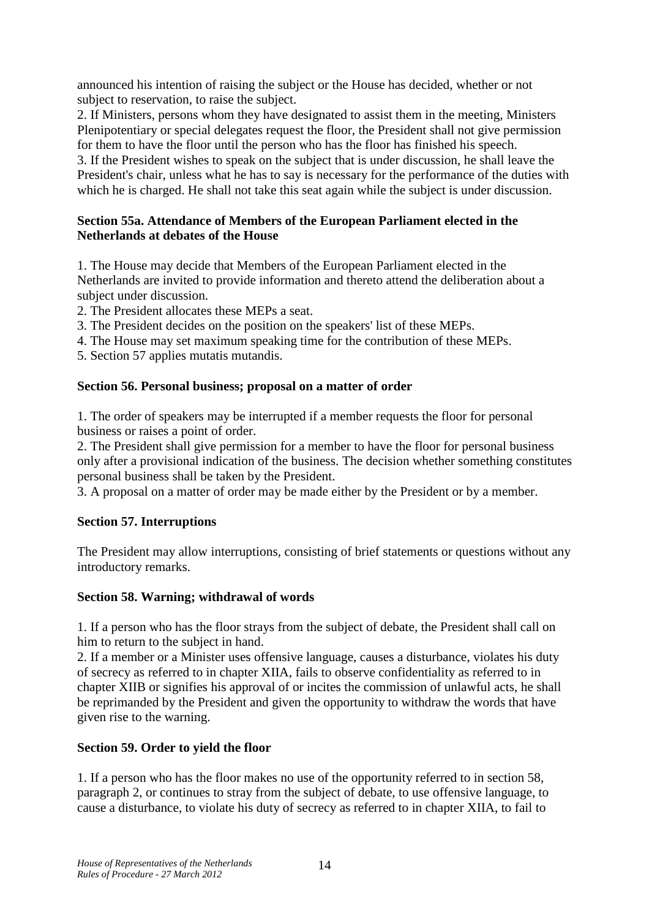announced his intention of raising the subject or the House has decided, whether or not subject to reservation, to raise the subject.

2. If Ministers, persons whom they have designated to assist them in the meeting, Ministers Plenipotentiary or special delegates request the floor, the President shall not give permission for them to have the floor until the person who has the floor has finished his speech.

3. If the President wishes to speak on the subject that is under discussion, he shall leave the President's chair, unless what he has to say is necessary for the performance of the duties with which he is charged. He shall not take this seat again while the subject is under discussion.

### **Section 55a. Attendance of Members of the European Parliament elected in the Netherlands at debates of the House**

1. The House may decide that Members of the European Parliament elected in the Netherlands are invited to provide information and thereto attend the deliberation about a subject under discussion.

2. The President allocates these MEPs a seat.

- 3. The President decides on the position on the speakers' list of these MEPs.
- 4. The House may set maximum speaking time for the contribution of these MEPs.
- 5. Section 57 applies mutatis mutandis.

### **Section 56. Personal business; proposal on a matter of order**

1. The order of speakers may be interrupted if a member requests the floor for personal business or raises a point of order.

2. The President shall give permission for a member to have the floor for personal business only after a provisional indication of the business. The decision whether something constitutes personal business shall be taken by the President.

3. A proposal on a matter of order may be made either by the President or by a member.

## **Section 57. Interruptions**

The President may allow interruptions, consisting of brief statements or questions without any introductory remarks.

## **Section 58. Warning; withdrawal of words**

1. If a person who has the floor strays from the subject of debate, the President shall call on him to return to the subject in hand.

2. If a member or a Minister uses offensive language, causes a disturbance, violates his duty of secrecy as referred to in chapter XIIA, fails to observe confidentiality as referred to in chapter XIIB or signifies his approval of or incites the commission of unlawful acts, he shall be reprimanded by the President and given the opportunity to withdraw the words that have given rise to the warning.

## **Section 59. Order to yield the floor**

1. If a person who has the floor makes no use of the opportunity referred to in section 58, paragraph 2, or continues to stray from the subject of debate, to use offensive language, to cause a disturbance, to violate his duty of secrecy as referred to in chapter XIIA, to fail to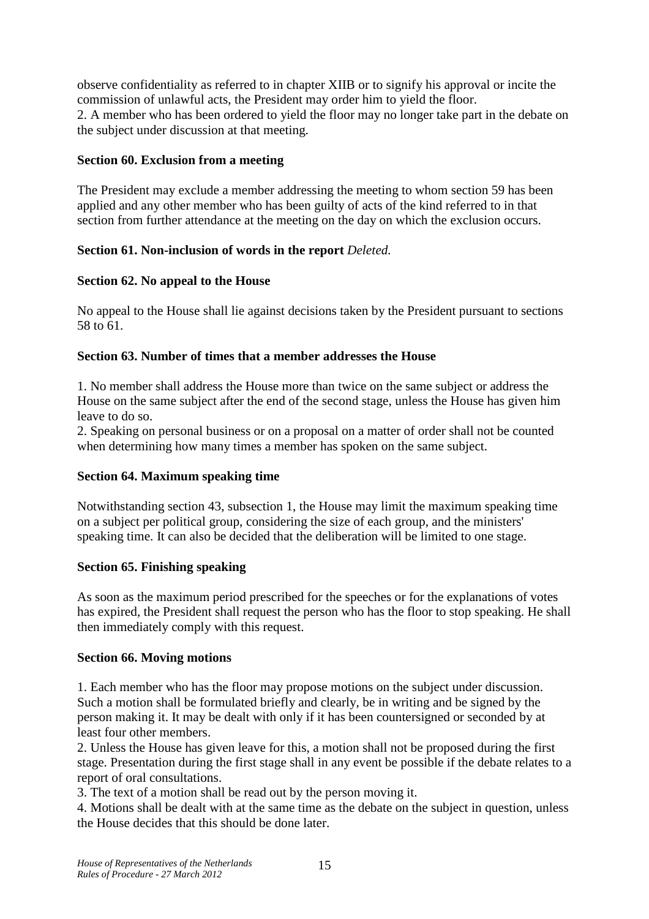observe confidentiality as referred to in chapter XIIB or to signify his approval or incite the commission of unlawful acts, the President may order him to yield the floor. 2. A member who has been ordered to yield the floor may no longer take part in the debate on the subject under discussion at that meeting.

#### **Section 60. Exclusion from a meeting**

The President may exclude a member addressing the meeting to whom section 59 has been applied and any other member who has been guilty of acts of the kind referred to in that section from further attendance at the meeting on the day on which the exclusion occurs.

#### **Section 61. Non-inclusion of words in the report** *Deleted.*

#### **Section 62. No appeal to the House**

No appeal to the House shall lie against decisions taken by the President pursuant to sections 58 to 61.

#### **Section 63. Number of times that a member addresses the House**

1. No member shall address the House more than twice on the same subject or address the House on the same subject after the end of the second stage, unless the House has given him leave to do so.

2. Speaking on personal business or on a proposal on a matter of order shall not be counted when determining how many times a member has spoken on the same subject.

#### **Section 64. Maximum speaking time**

Notwithstanding section 43, subsection 1, the House may limit the maximum speaking time on a subject per political group, considering the size of each group, and the ministers' speaking time. It can also be decided that the deliberation will be limited to one stage.

#### **Section 65. Finishing speaking**

As soon as the maximum period prescribed for the speeches or for the explanations of votes has expired, the President shall request the person who has the floor to stop speaking. He shall then immediately comply with this request.

#### **Section 66. Moving motions**

1. Each member who has the floor may propose motions on the subject under discussion. Such a motion shall be formulated briefly and clearly, be in writing and be signed by the person making it. It may be dealt with only if it has been countersigned or seconded by at least four other members.

2. Unless the House has given leave for this, a motion shall not be proposed during the first stage. Presentation during the first stage shall in any event be possible if the debate relates to a report of oral consultations.

3. The text of a motion shall be read out by the person moving it.

4. Motions shall be dealt with at the same time as the debate on the subject in question, unless the House decides that this should be done later.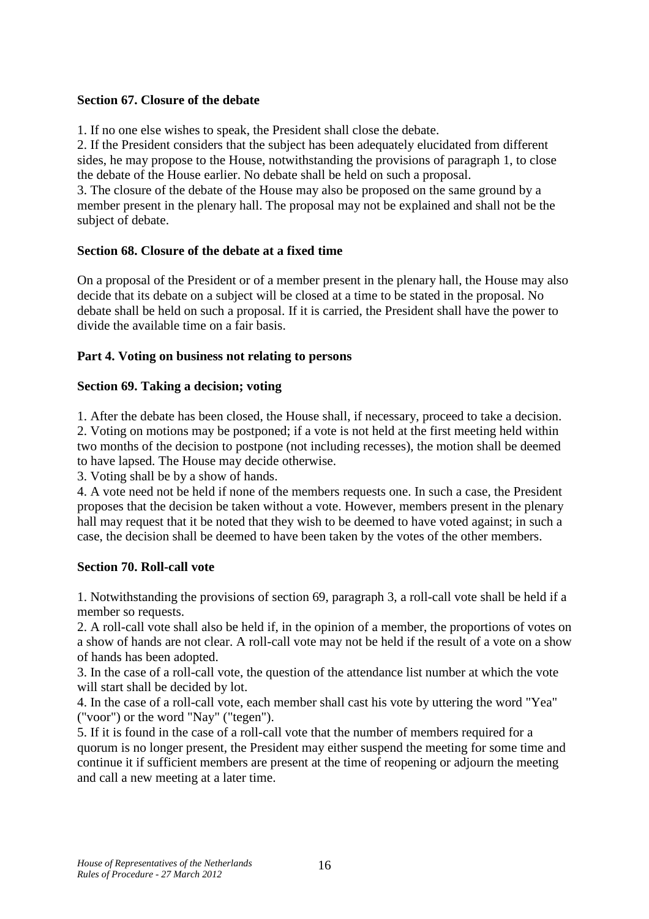#### **Section 67. Closure of the debate**

1. If no one else wishes to speak, the President shall close the debate.

2. If the President considers that the subject has been adequately elucidated from different sides, he may propose to the House, notwithstanding the provisions of paragraph 1, to close the debate of the House earlier. No debate shall be held on such a proposal.

3. The closure of the debate of the House may also be proposed on the same ground by a member present in the plenary hall. The proposal may not be explained and shall not be the subject of debate.

#### **Section 68. Closure of the debate at a fixed time**

On a proposal of the President or of a member present in the plenary hall, the House may also decide that its debate on a subject will be closed at a time to be stated in the proposal. No debate shall be held on such a proposal. If it is carried, the President shall have the power to divide the available time on a fair basis.

#### **Part 4. Voting on business not relating to persons**

#### **Section 69. Taking a decision; voting**

1. After the debate has been closed, the House shall, if necessary, proceed to take a decision. 2. Voting on motions may be postponed; if a vote is not held at the first meeting held within two months of the decision to postpone (not including recesses), the motion shall be deemed to have lapsed. The House may decide otherwise.

3. Voting shall be by a show of hands.

4. A vote need not be held if none of the members requests one. In such a case, the President proposes that the decision be taken without a vote. However, members present in the plenary hall may request that it be noted that they wish to be deemed to have voted against; in such a case, the decision shall be deemed to have been taken by the votes of the other members.

#### **Section 70. Roll-call vote**

1. Notwithstanding the provisions of section 69, paragraph 3, a roll-call vote shall be held if a member so requests.

2. A roll-call vote shall also be held if, in the opinion of a member, the proportions of votes on a show of hands are not clear. A roll-call vote may not be held if the result of a vote on a show of hands has been adopted.

3. In the case of a roll-call vote, the question of the attendance list number at which the vote will start shall be decided by lot.

4. In the case of a roll-call vote, each member shall cast his vote by uttering the word "Yea" ("voor") or the word "Nay" ("tegen").

5. If it is found in the case of a roll-call vote that the number of members required for a quorum is no longer present, the President may either suspend the meeting for some time and continue it if sufficient members are present at the time of reopening or adjourn the meeting and call a new meeting at a later time.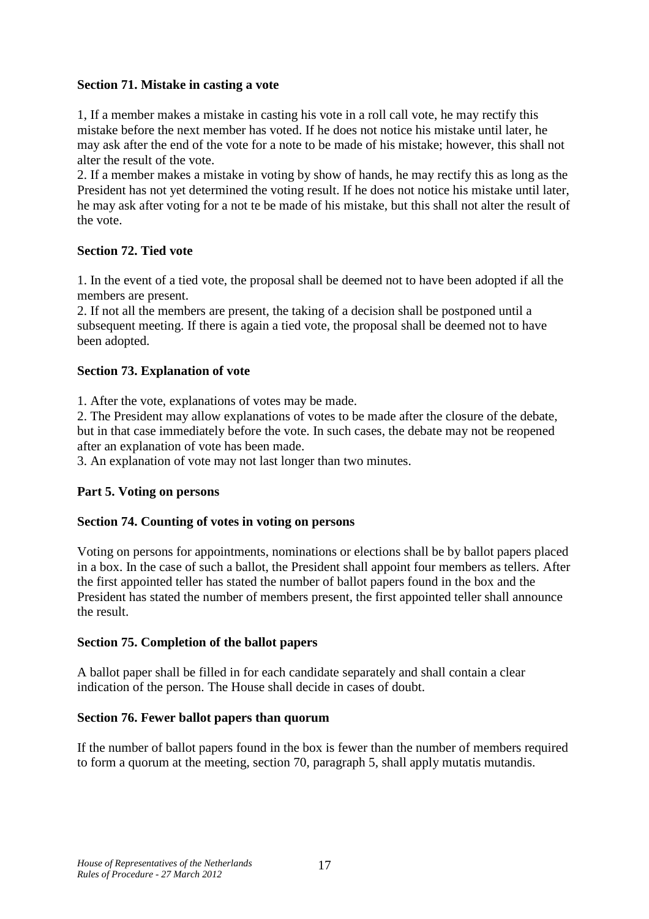### **Section 71. Mistake in casting a vote**

1, If a member makes a mistake in casting his vote in a roll call vote, he may rectify this mistake before the next member has voted. If he does not notice his mistake until later, he may ask after the end of the vote for a note to be made of his mistake; however, this shall not alter the result of the vote.

2. If a member makes a mistake in voting by show of hands, he may rectify this as long as the President has not yet determined the voting result. If he does not notice his mistake until later, he may ask after voting for a not te be made of his mistake, but this shall not alter the result of the vote.

## **Section 72. Tied vote**

1. In the event of a tied vote, the proposal shall be deemed not to have been adopted if all the members are present.

2. If not all the members are present, the taking of a decision shall be postponed until a subsequent meeting. If there is again a tied vote, the proposal shall be deemed not to have been adopted.

### **Section 73. Explanation of vote**

1. After the vote, explanations of votes may be made.

2. The President may allow explanations of votes to be made after the closure of the debate, but in that case immediately before the vote. In such cases, the debate may not be reopened after an explanation of vote has been made.

3. An explanation of vote may not last longer than two minutes.

#### **Part 5. Voting on persons**

#### **Section 74. Counting of votes in voting on persons**

Voting on persons for appointments, nominations or elections shall be by ballot papers placed in a box. In the case of such a ballot, the President shall appoint four members as tellers. After the first appointed teller has stated the number of ballot papers found in the box and the President has stated the number of members present, the first appointed teller shall announce the result.

#### **Section 75. Completion of the ballot papers**

A ballot paper shall be filled in for each candidate separately and shall contain a clear indication of the person. The House shall decide in cases of doubt.

#### **Section 76. Fewer ballot papers than quorum**

If the number of ballot papers found in the box is fewer than the number of members required to form a quorum at the meeting, section 70, paragraph 5, shall apply mutatis mutandis.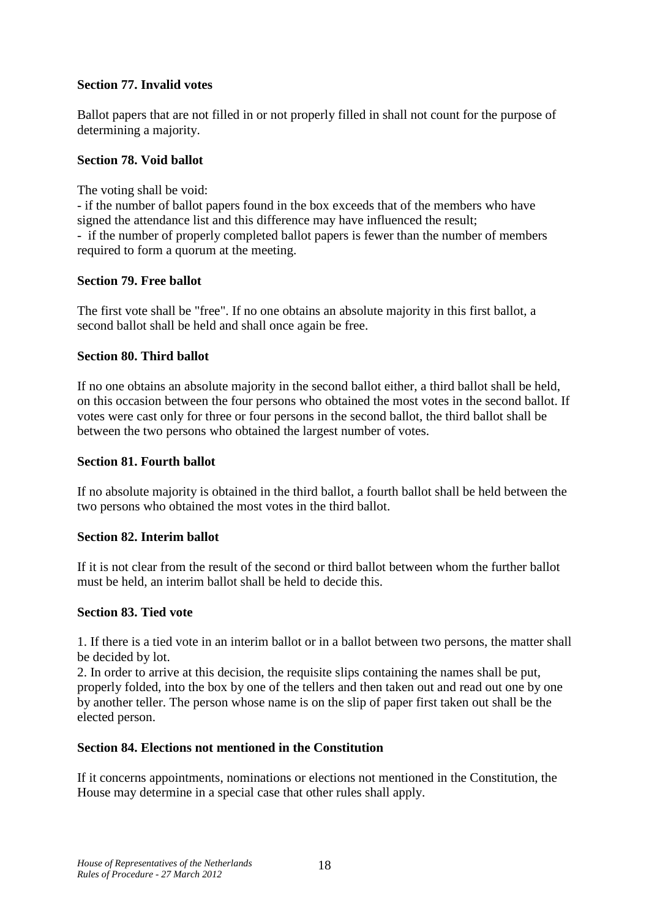### **Section 77. Invalid votes**

Ballot papers that are not filled in or not properly filled in shall not count for the purpose of determining a majority.

#### **Section 78. Void ballot**

The voting shall be void:

- if the number of ballot papers found in the box exceeds that of the members who have signed the attendance list and this difference may have influenced the result; - if the number of properly completed ballot papers is fewer than the number of members required to form a quorum at the meeting.

#### **Section 79. Free ballot**

The first vote shall be "free". If no one obtains an absolute majority in this first ballot, a second ballot shall be held and shall once again be free.

#### **Section 80. Third ballot**

If no one obtains an absolute majority in the second ballot either, a third ballot shall be held, on this occasion between the four persons who obtained the most votes in the second ballot. If votes were cast only for three or four persons in the second ballot, the third ballot shall be between the two persons who obtained the largest number of votes.

#### **Section 81. Fourth ballot**

If no absolute majority is obtained in the third ballot, a fourth ballot shall be held between the two persons who obtained the most votes in the third ballot.

#### **Section 82. Interim ballot**

If it is not clear from the result of the second or third ballot between whom the further ballot must be held, an interim ballot shall be held to decide this.

#### **Section 83. Tied vote**

1. If there is a tied vote in an interim ballot or in a ballot between two persons, the matter shall be decided by lot.

2. In order to arrive at this decision, the requisite slips containing the names shall be put, properly folded, into the box by one of the tellers and then taken out and read out one by one by another teller. The person whose name is on the slip of paper first taken out shall be the elected person.

#### **Section 84. Elections not mentioned in the Constitution**

If it concerns appointments, nominations or elections not mentioned in the Constitution, the House may determine in a special case that other rules shall apply.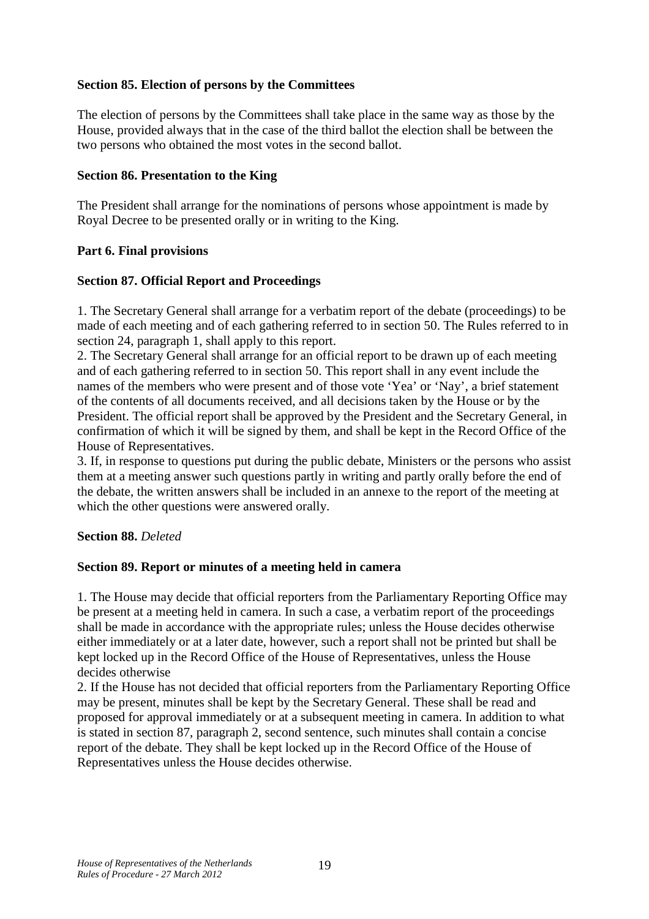### **Section 85. Election of persons by the Committees**

The election of persons by the Committees shall take place in the same way as those by the House, provided always that in the case of the third ballot the election shall be between the two persons who obtained the most votes in the second ballot.

#### **Section 86. Presentation to the King**

The President shall arrange for the nominations of persons whose appointment is made by Royal Decree to be presented orally or in writing to the King.

#### **Part 6. Final provisions**

#### **Section 87. Official Report and Proceedings**

1. The Secretary General shall arrange for a verbatim report of the debate (proceedings) to be made of each meeting and of each gathering referred to in section 50. The Rules referred to in section 24, paragraph 1, shall apply to this report.

2. The Secretary General shall arrange for an official report to be drawn up of each meeting and of each gathering referred to in section 50. This report shall in any event include the names of the members who were present and of those vote 'Yea' or 'Nay', a brief statement of the contents of all documents received, and all decisions taken by the House or by the President. The official report shall be approved by the President and the Secretary General, in confirmation of which it will be signed by them, and shall be kept in the Record Office of the House of Representatives.

3. If, in response to questions put during the public debate, Ministers or the persons who assist them at a meeting answer such questions partly in writing and partly orally before the end of the debate, the written answers shall be included in an annexe to the report of the meeting at which the other questions were answered orally.

#### **Section 88.** *Deleted*

#### **Section 89. Report or minutes of a meeting held in camera**

1. The House may decide that official reporters from the Parliamentary Reporting Office may be present at a meeting held in camera. In such a case, a verbatim report of the proceedings shall be made in accordance with the appropriate rules; unless the House decides otherwise either immediately or at a later date, however, such a report shall not be printed but shall be kept locked up in the Record Office of the House of Representatives, unless the House decides otherwise

2. If the House has not decided that official reporters from the Parliamentary Reporting Office may be present, minutes shall be kept by the Secretary General. These shall be read and proposed for approval immediately or at a subsequent meeting in camera. In addition to what is stated in section 87, paragraph 2, second sentence, such minutes shall contain a concise report of the debate. They shall be kept locked up in the Record Office of the House of Representatives unless the House decides otherwise.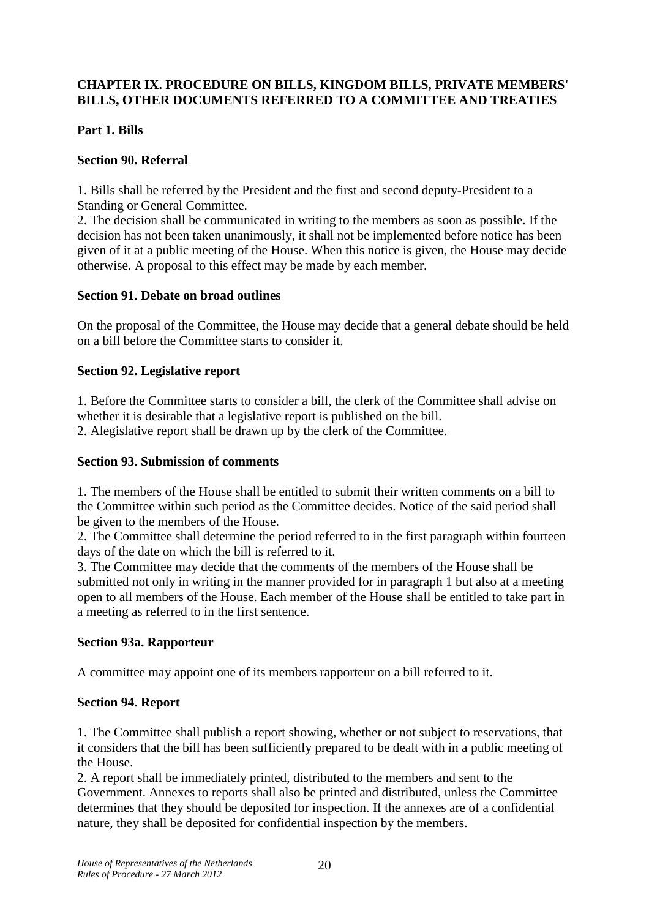### **CHAPTER IX. PROCEDURE ON BILLS, KINGDOM BILLS, PRIVATE MEMBERS' BILLS, OTHER DOCUMENTS REFERRED TO A COMMITTEE AND TREATIES**

#### **Part 1. Bills**

### **Section 90. Referral**

1. Bills shall be referred by the President and the first and second deputy-President to a Standing or General Committee.

2. The decision shall be communicated in writing to the members as soon as possible. If the decision has not been taken unanimously, it shall not be implemented before notice has been given of it at a public meeting of the House. When this notice is given, the House may decide otherwise. A proposal to this effect may be made by each member.

#### **Section 91. Debate on broad outlines**

On the proposal of the Committee, the House may decide that a general debate should be held on a bill before the Committee starts to consider it.

#### **Section 92. Legislative report**

1. Before the Committee starts to consider a bill, the clerk of the Committee shall advise on whether it is desirable that a legislative report is published on the bill.

2. Alegislative report shall be drawn up by the clerk of the Committee.

#### **Section 93. Submission of comments**

1. The members of the House shall be entitled to submit their written comments on a bill to the Committee within such period as the Committee decides. Notice of the said period shall be given to the members of the House.

2. The Committee shall determine the period referred to in the first paragraph within fourteen days of the date on which the bill is referred to it.

3. The Committee may decide that the comments of the members of the House shall be submitted not only in writing in the manner provided for in paragraph 1 but also at a meeting open to all members of the House. Each member of the House shall be entitled to take part in a meeting as referred to in the first sentence.

#### **Section 93a. Rapporteur**

A committee may appoint one of its members rapporteur on a bill referred to it.

#### **Section 94. Report**

1. The Committee shall publish a report showing, whether or not subject to reservations, that it considers that the bill has been sufficiently prepared to be dealt with in a public meeting of the House.

2. A report shall be immediately printed, distributed to the members and sent to the Government. Annexes to reports shall also be printed and distributed, unless the Committee determines that they should be deposited for inspection. If the annexes are of a confidential nature, they shall be deposited for confidential inspection by the members.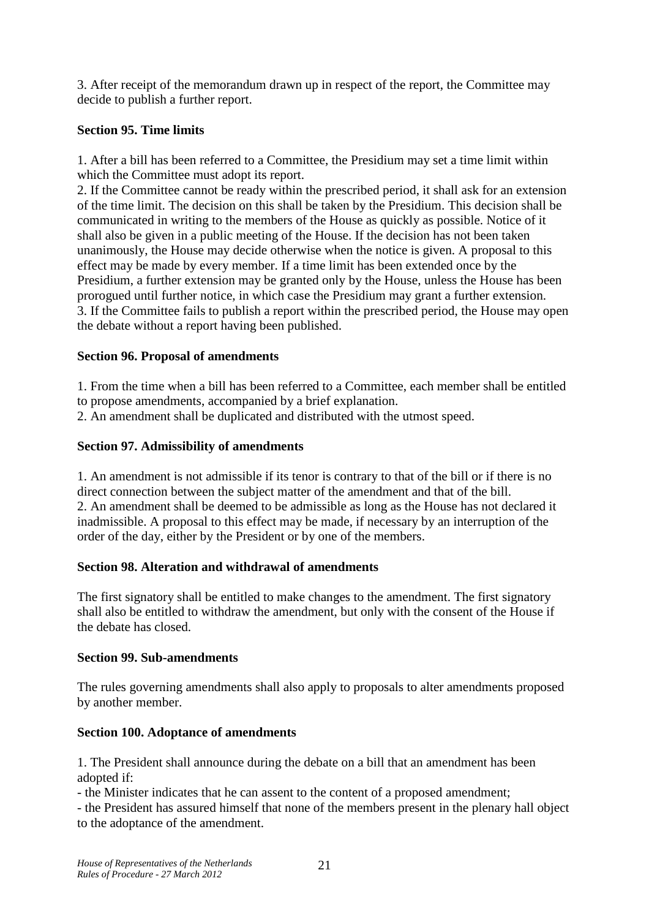3. After receipt of the memorandum drawn up in respect of the report, the Committee may decide to publish a further report.

### **Section 95. Time limits**

1. After a bill has been referred to a Committee, the Presidium may set a time limit within which the Committee must adopt its report.

2. If the Committee cannot be ready within the prescribed period, it shall ask for an extension of the time limit. The decision on this shall be taken by the Presidium. This decision shall be communicated in writing to the members of the House as quickly as possible. Notice of it shall also be given in a public meeting of the House. If the decision has not been taken unanimously, the House may decide otherwise when the notice is given. A proposal to this effect may be made by every member. If a time limit has been extended once by the Presidium, a further extension may be granted only by the House, unless the House has been prorogued until further notice, in which case the Presidium may grant a further extension. 3. If the Committee fails to publish a report within the prescribed period, the House may open the debate without a report having been published.

### **Section 96. Proposal of amendments**

1. From the time when a bill has been referred to a Committee, each member shall be entitled to propose amendments, accompanied by a brief explanation.

2. An amendment shall be duplicated and distributed with the utmost speed.

## **Section 97. Admissibility of amendments**

1. An amendment is not admissible if its tenor is contrary to that of the bill or if there is no direct connection between the subject matter of the amendment and that of the bill. 2. An amendment shall be deemed to be admissible as long as the House has not declared it inadmissible. A proposal to this effect may be made, if necessary by an interruption of the order of the day, either by the President or by one of the members.

## **Section 98. Alteration and withdrawal of amendments**

The first signatory shall be entitled to make changes to the amendment. The first signatory shall also be entitled to withdraw the amendment, but only with the consent of the House if the debate has closed.

#### **Section 99. Sub-amendments**

The rules governing amendments shall also apply to proposals to alter amendments proposed by another member.

## **Section 100. Adoptance of amendments**

1. The President shall announce during the debate on a bill that an amendment has been adopted if:

- the Minister indicates that he can assent to the content of a proposed amendment;

- the President has assured himself that none of the members present in the plenary hall object to the adoptance of the amendment.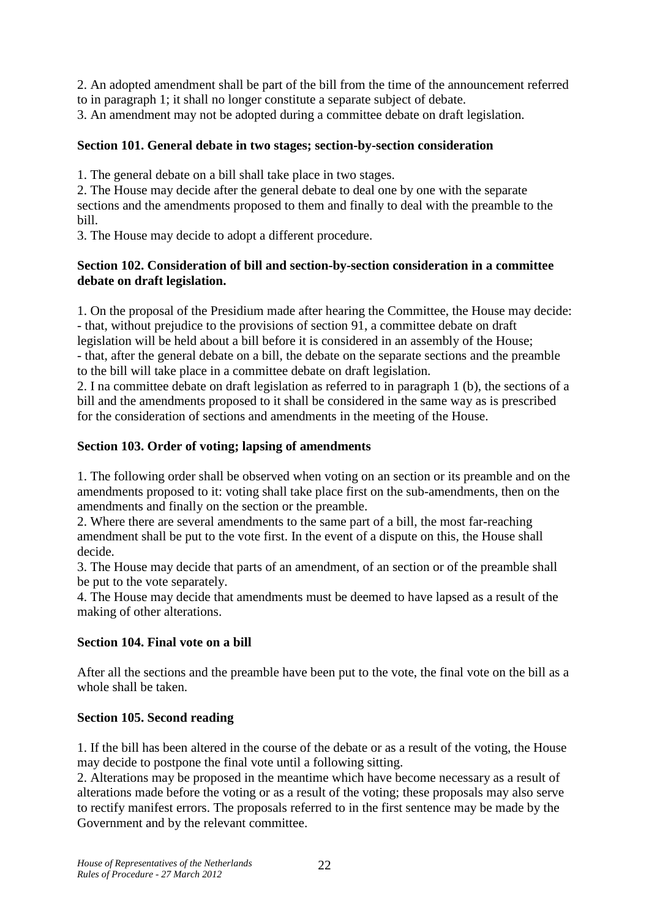2. An adopted amendment shall be part of the bill from the time of the announcement referred to in paragraph 1; it shall no longer constitute a separate subject of debate.

3. An amendment may not be adopted during a committee debate on draft legislation.

### **Section 101. General debate in two stages; section-by-section consideration**

1. The general debate on a bill shall take place in two stages.

2. The House may decide after the general debate to deal one by one with the separate sections and the amendments proposed to them and finally to deal with the preamble to the bill.

3. The House may decide to adopt a different procedure.

#### **Section 102. Consideration of bill and section-by-section consideration in a committee debate on draft legislation.**

1. On the proposal of the Presidium made after hearing the Committee, the House may decide: - that, without prejudice to the provisions of section 91, a committee debate on draft legislation will be held about a bill before it is considered in an assembly of the House; - that, after the general debate on a bill, the debate on the separate sections and the preamble to the bill will take place in a committee debate on draft legislation.

2. I na committee debate on draft legislation as referred to in paragraph 1 (b), the sections of a bill and the amendments proposed to it shall be considered in the same way as is prescribed for the consideration of sections and amendments in the meeting of the House.

#### **Section 103. Order of voting; lapsing of amendments**

1. The following order shall be observed when voting on an section or its preamble and on the amendments proposed to it: voting shall take place first on the sub-amendments, then on the amendments and finally on the section or the preamble.

2. Where there are several amendments to the same part of a bill, the most far-reaching amendment shall be put to the vote first. In the event of a dispute on this, the House shall decide.

3. The House may decide that parts of an amendment, of an section or of the preamble shall be put to the vote separately.

4. The House may decide that amendments must be deemed to have lapsed as a result of the making of other alterations.

#### **Section 104. Final vote on a bill**

After all the sections and the preamble have been put to the vote, the final vote on the bill as a whole shall be taken.

#### **Section 105. Second reading**

1. If the bill has been altered in the course of the debate or as a result of the voting, the House may decide to postpone the final vote until a following sitting.

2. Alterations may be proposed in the meantime which have become necessary as a result of alterations made before the voting or as a result of the voting; these proposals may also serve to rectify manifest errors. The proposals referred to in the first sentence may be made by the Government and by the relevant committee.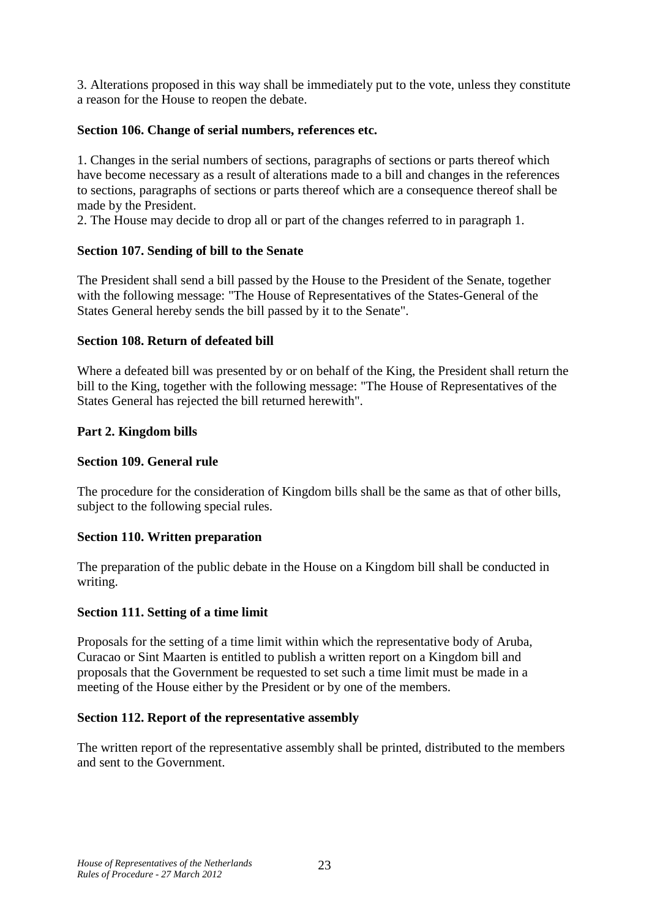3. Alterations proposed in this way shall be immediately put to the vote, unless they constitute a reason for the House to reopen the debate.

### **Section 106. Change of serial numbers, references etc.**

1. Changes in the serial numbers of sections, paragraphs of sections or parts thereof which have become necessary as a result of alterations made to a bill and changes in the references to sections, paragraphs of sections or parts thereof which are a consequence thereof shall be made by the President.

2. The House may decide to drop all or part of the changes referred to in paragraph 1.

#### **Section 107. Sending of bill to the Senate**

The President shall send a bill passed by the House to the President of the Senate, together with the following message: "The House of Representatives of the States-General of the States General hereby sends the bill passed by it to the Senate".

#### **Section 108. Return of defeated bill**

Where a defeated bill was presented by or on behalf of the King, the President shall return the bill to the King, together with the following message: "The House of Representatives of the States General has rejected the bill returned herewith".

#### **Part 2. Kingdom bills**

#### **Section 109. General rule**

The procedure for the consideration of Kingdom bills shall be the same as that of other bills, subject to the following special rules.

#### **Section 110. Written preparation**

The preparation of the public debate in the House on a Kingdom bill shall be conducted in writing.

#### **Section 111. Setting of a time limit**

Proposals for the setting of a time limit within which the representative body of Aruba, Curacao or Sint Maarten is entitled to publish a written report on a Kingdom bill and proposals that the Government be requested to set such a time limit must be made in a meeting of the House either by the President or by one of the members.

#### **Section 112. Report of the representative assembly**

The written report of the representative assembly shall be printed, distributed to the members and sent to the Government.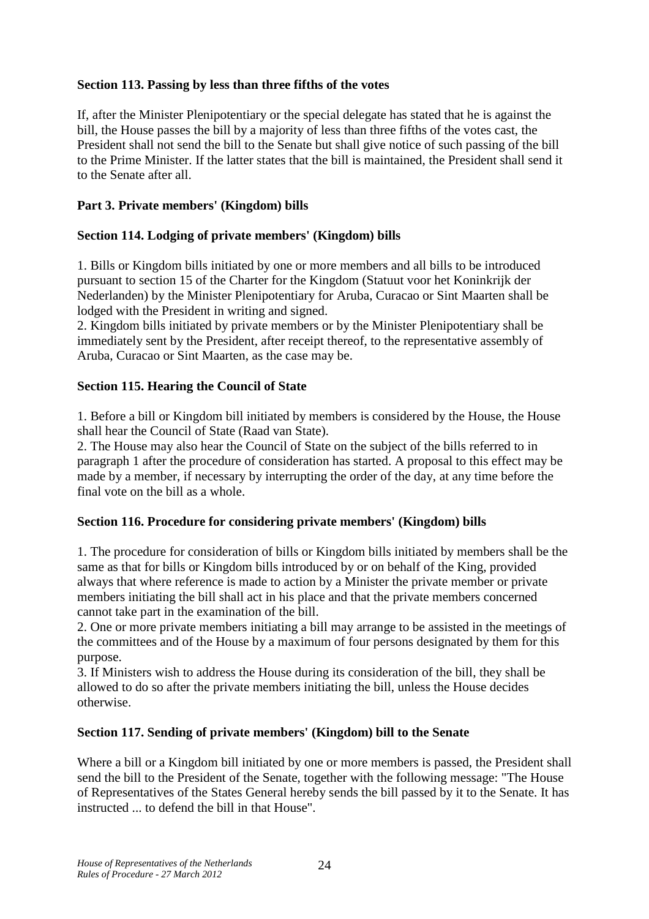### **Section 113. Passing by less than three fifths of the votes**

If, after the Minister Plenipotentiary or the special delegate has stated that he is against the bill, the House passes the bill by a majority of less than three fifths of the votes cast, the President shall not send the bill to the Senate but shall give notice of such passing of the bill to the Prime Minister. If the latter states that the bill is maintained, the President shall send it to the Senate after all.

### **Part 3. Private members' (Kingdom) bills**

### **Section 114. Lodging of private members' (Kingdom) bills**

1. Bills or Kingdom bills initiated by one or more members and all bills to be introduced pursuant to section 15 of the Charter for the Kingdom (Statuut voor het Koninkrijk der Nederlanden) by the Minister Plenipotentiary for Aruba, Curacao or Sint Maarten shall be lodged with the President in writing and signed.

2. Kingdom bills initiated by private members or by the Minister Plenipotentiary shall be immediately sent by the President, after receipt thereof, to the representative assembly of Aruba, Curacao or Sint Maarten, as the case may be.

#### **Section 115. Hearing the Council of State**

1. Before a bill or Kingdom bill initiated by members is considered by the House, the House shall hear the Council of State (Raad van State).

2. The House may also hear the Council of State on the subject of the bills referred to in paragraph 1 after the procedure of consideration has started. A proposal to this effect may be made by a member, if necessary by interrupting the order of the day, at any time before the final vote on the bill as a whole.

## **Section 116. Procedure for considering private members' (Kingdom) bills**

1. The procedure for consideration of bills or Kingdom bills initiated by members shall be the same as that for bills or Kingdom bills introduced by or on behalf of the King, provided always that where reference is made to action by a Minister the private member or private members initiating the bill shall act in his place and that the private members concerned cannot take part in the examination of the bill.

2. One or more private members initiating a bill may arrange to be assisted in the meetings of the committees and of the House by a maximum of four persons designated by them for this purpose.

3. If Ministers wish to address the House during its consideration of the bill, they shall be allowed to do so after the private members initiating the bill, unless the House decides otherwise.

#### **Section 117. Sending of private members' (Kingdom) bill to the Senate**

Where a bill or a Kingdom bill initiated by one or more members is passed, the President shall send the bill to the President of the Senate, together with the following message: "The House of Representatives of the States General hereby sends the bill passed by it to the Senate. It has instructed to defend the bill in that House"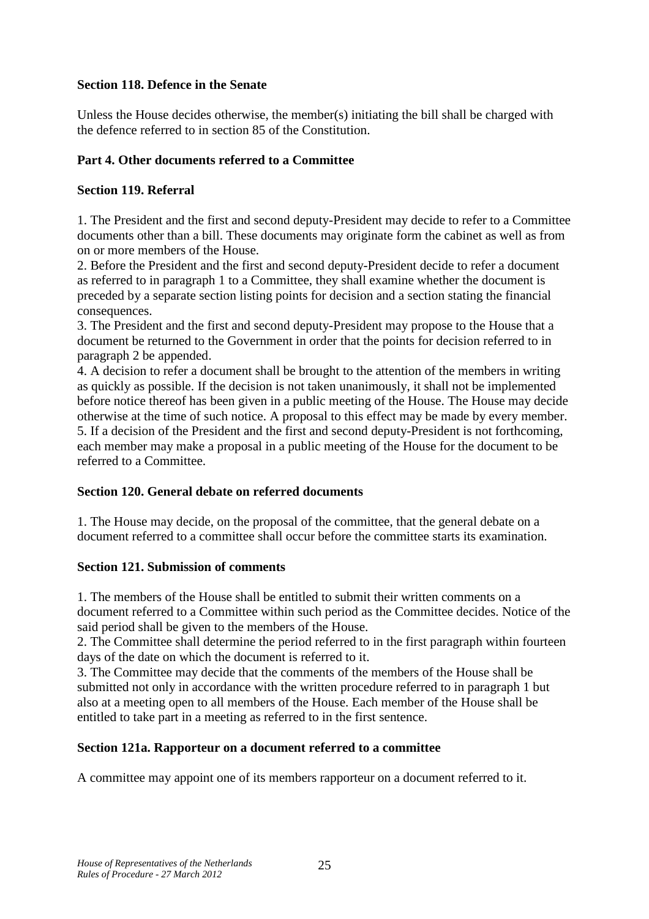### **Section 118. Defence in the Senate**

Unless the House decides otherwise, the member(s) initiating the bill shall be charged with the defence referred to in section 85 of the Constitution.

### **Part 4. Other documents referred to a Committee**

### **Section 119. Referral**

1. The President and the first and second deputy-President may decide to refer to a Committee documents other than a bill. These documents may originate form the cabinet as well as from on or more members of the House.

2. Before the President and the first and second deputy-President decide to refer a document as referred to in paragraph 1 to a Committee, they shall examine whether the document is preceded by a separate section listing points for decision and a section stating the financial consequences.

3. The President and the first and second deputy-President may propose to the House that a document be returned to the Government in order that the points for decision referred to in paragraph 2 be appended.

4. A decision to refer a document shall be brought to the attention of the members in writing as quickly as possible. If the decision is not taken unanimously, it shall not be implemented before notice thereof has been given in a public meeting of the House. The House may decide otherwise at the time of such notice. A proposal to this effect may be made by every member. 5. If a decision of the President and the first and second deputy-President is not forthcoming, each member may make a proposal in a public meeting of the House for the document to be referred to a Committee.

### **Section 120. General debate on referred documents**

1. The House may decide, on the proposal of the committee, that the general debate on a document referred to a committee shall occur before the committee starts its examination.

#### **Section 121. Submission of comments**

1. The members of the House shall be entitled to submit their written comments on a document referred to a Committee within such period as the Committee decides. Notice of the said period shall be given to the members of the House.

2. The Committee shall determine the period referred to in the first paragraph within fourteen days of the date on which the document is referred to it.

3. The Committee may decide that the comments of the members of the House shall be submitted not only in accordance with the written procedure referred to in paragraph 1 but also at a meeting open to all members of the House. Each member of the House shall be entitled to take part in a meeting as referred to in the first sentence.

#### **Section 121a. Rapporteur on a document referred to a committee**

A committee may appoint one of its members rapporteur on a document referred to it.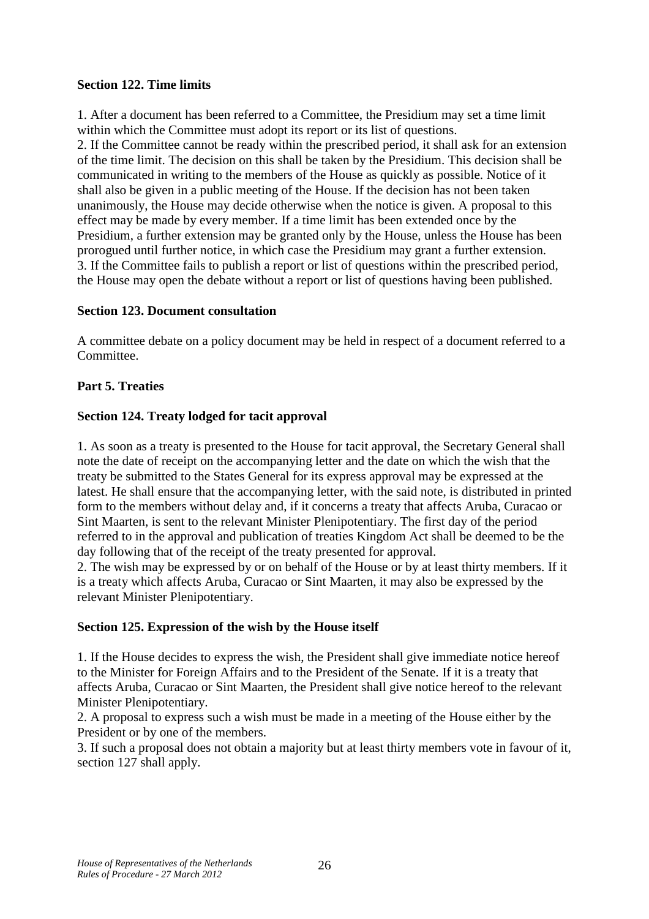#### **Section 122. Time limits**

1. After a document has been referred to a Committee, the Presidium may set a time limit within which the Committee must adopt its report or its list of questions. 2. If the Committee cannot be ready within the prescribed period, it shall ask for an extension of the time limit. The decision on this shall be taken by the Presidium. This decision shall be communicated in writing to the members of the House as quickly as possible. Notice of it shall also be given in a public meeting of the House. If the decision has not been taken unanimously, the House may decide otherwise when the notice is given. A proposal to this effect may be made by every member. If a time limit has been extended once by the Presidium, a further extension may be granted only by the House, unless the House has been prorogued until further notice, in which case the Presidium may grant a further extension. 3. If the Committee fails to publish a report or list of questions within the prescribed period, the House may open the debate without a report or list of questions having been published.

#### **Section 123. Document consultation**

A committee debate on a policy document may be held in respect of a document referred to a Committee.

#### **Part 5. Treaties**

#### **Section 124. Treaty lodged for tacit approval**

1. As soon as a treaty is presented to the House for tacit approval, the Secretary General shall note the date of receipt on the accompanying letter and the date on which the wish that the treaty be submitted to the States General for its express approval may be expressed at the latest. He shall ensure that the accompanying letter, with the said note, is distributed in printed form to the members without delay and, if it concerns a treaty that affects Aruba, Curacao or Sint Maarten, is sent to the relevant Minister Plenipotentiary. The first day of the period referred to in the approval and publication of treaties Kingdom Act shall be deemed to be the day following that of the receipt of the treaty presented for approval.

2. The wish may be expressed by or on behalf of the House or by at least thirty members. If it is a treaty which affects Aruba, Curacao or Sint Maarten, it may also be expressed by the relevant Minister Plenipotentiary.

#### **Section 125. Expression of the wish by the House itself**

1. If the House decides to express the wish, the President shall give immediate notice hereof to the Minister for Foreign Affairs and to the President of the Senate. If it is a treaty that affects Aruba, Curacao or Sint Maarten, the President shall give notice hereof to the relevant Minister Plenipotentiary.

2. A proposal to express such a wish must be made in a meeting of the House either by the President or by one of the members.

3. If such a proposal does not obtain a majority but at least thirty members vote in favour of it, section 127 shall apply.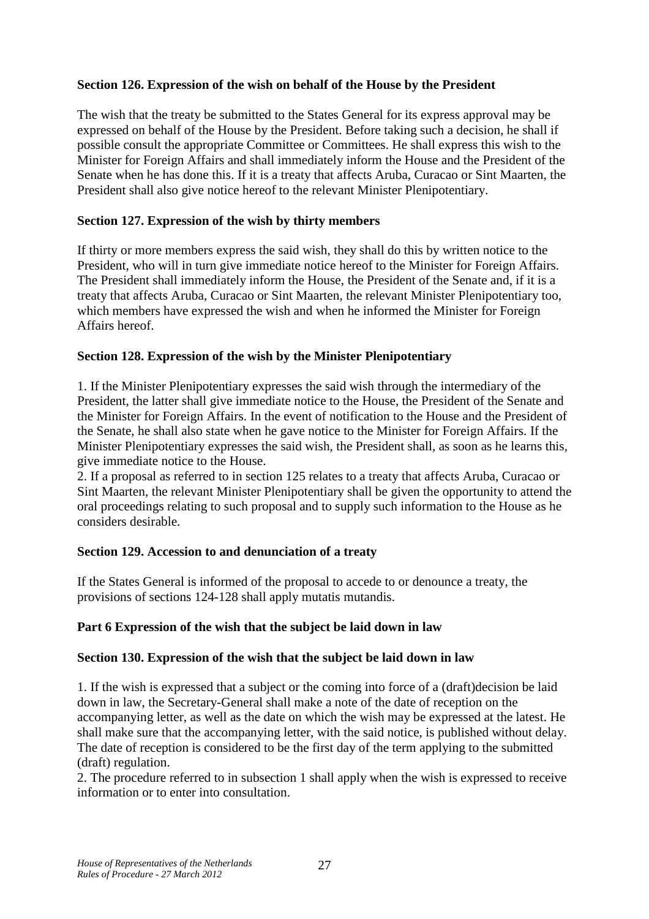### **Section 126. Expression of the wish on behalf of the House by the President**

The wish that the treaty be submitted to the States General for its express approval may be expressed on behalf of the House by the President. Before taking such a decision, he shall if possible consult the appropriate Committee or Committees. He shall express this wish to the Minister for Foreign Affairs and shall immediately inform the House and the President of the Senate when he has done this. If it is a treaty that affects Aruba, Curacao or Sint Maarten, the President shall also give notice hereof to the relevant Minister Plenipotentiary.

#### **Section 127. Expression of the wish by thirty members**

If thirty or more members express the said wish, they shall do this by written notice to the President, who will in turn give immediate notice hereof to the Minister for Foreign Affairs. The President shall immediately inform the House, the President of the Senate and, if it is a treaty that affects Aruba, Curacao or Sint Maarten, the relevant Minister Plenipotentiary too, which members have expressed the wish and when he informed the Minister for Foreign Affairs hereof.

#### **Section 128. Expression of the wish by the Minister Plenipotentiary**

1. If the Minister Plenipotentiary expresses the said wish through the intermediary of the President, the latter shall give immediate notice to the House, the President of the Senate and the Minister for Foreign Affairs. In the event of notification to the House and the President of the Senate, he shall also state when he gave notice to the Minister for Foreign Affairs. If the Minister Plenipotentiary expresses the said wish, the President shall, as soon as he learns this, give immediate notice to the House.

2. If a proposal as referred to in section 125 relates to a treaty that affects Aruba, Curacao or Sint Maarten, the relevant Minister Plenipotentiary shall be given the opportunity to attend the oral proceedings relating to such proposal and to supply such information to the House as he considers desirable.

#### **Section 129. Accession to and denunciation of a treaty**

If the States General is informed of the proposal to accede to or denounce a treaty, the provisions of sections 124-128 shall apply mutatis mutandis.

#### **Part 6 Expression of the wish that the subject be laid down in law**

#### **Section 130. Expression of the wish that the subject be laid down in law**

1. If the wish is expressed that a subject or the coming into force of a (draft)decision be laid down in law, the Secretary-General shall make a note of the date of reception on the accompanying letter, as well as the date on which the wish may be expressed at the latest. He shall make sure that the accompanying letter, with the said notice, is published without delay. The date of reception is considered to be the first day of the term applying to the submitted (draft) regulation.

2. The procedure referred to in subsection 1 shall apply when the wish is expressed to receive information or to enter into consultation.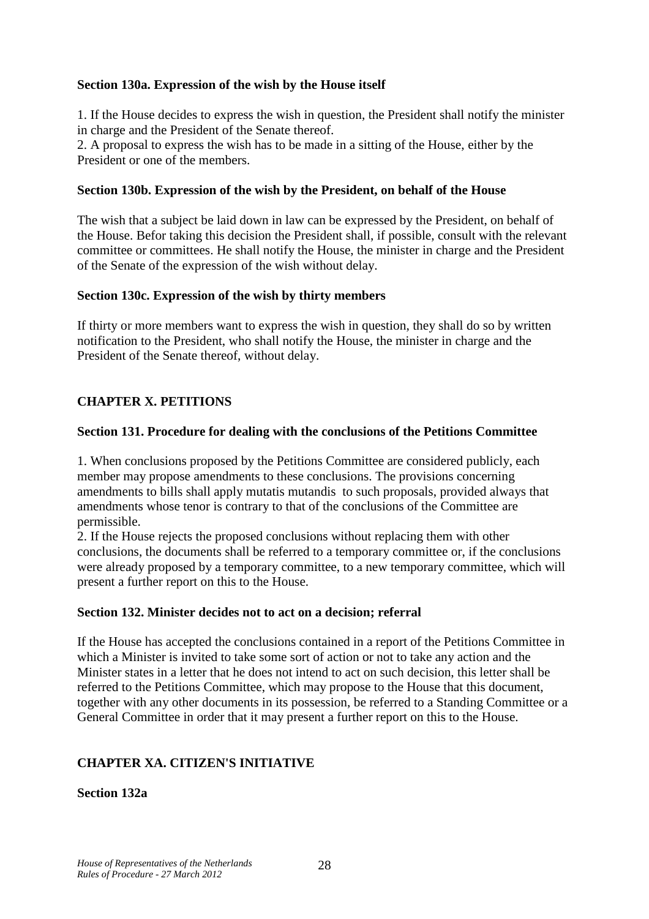#### **Section 130a. Expression of the wish by the House itself**

1. If the House decides to express the wish in question, the President shall notify the minister in charge and the President of the Senate thereof.

2. A proposal to express the wish has to be made in a sitting of the House, either by the President or one of the members.

#### **Section 130b. Expression of the wish by the President, on behalf of the House**

The wish that a subject be laid down in law can be expressed by the President, on behalf of the House. Befor taking this decision the President shall, if possible, consult with the relevant committee or committees. He shall notify the House, the minister in charge and the President of the Senate of the expression of the wish without delay.

#### **Section 130c. Expression of the wish by thirty members**

If thirty or more members want to express the wish in question, they shall do so by written notification to the President, who shall notify the House, the minister in charge and the President of the Senate thereof, without delay.

#### **CHAPTER X. PETITIONS**

#### **Section 131. Procedure for dealing with the conclusions of the Petitions Committee**

1. When conclusions proposed by the Petitions Committee are considered publicly, each member may propose amendments to these conclusions. The provisions concerning amendments to bills shall apply mutatis mutandis to such proposals, provided always that amendments whose tenor is contrary to that of the conclusions of the Committee are permissible.

2. If the House rejects the proposed conclusions without replacing them with other conclusions, the documents shall be referred to a temporary committee or, if the conclusions were already proposed by a temporary committee, to a new temporary committee, which will present a further report on this to the House.

#### **Section 132. Minister decides not to act on a decision; referral**

If the House has accepted the conclusions contained in a report of the Petitions Committee in which a Minister is invited to take some sort of action or not to take any action and the Minister states in a letter that he does not intend to act on such decision, this letter shall be referred to the Petitions Committee, which may propose to the House that this document, together with any other documents in its possession, be referred to a Standing Committee or a General Committee in order that it may present a further report on this to the House.

## **CHAPTER XA. CITIZEN'S INITIATIVE**

**Section 132a**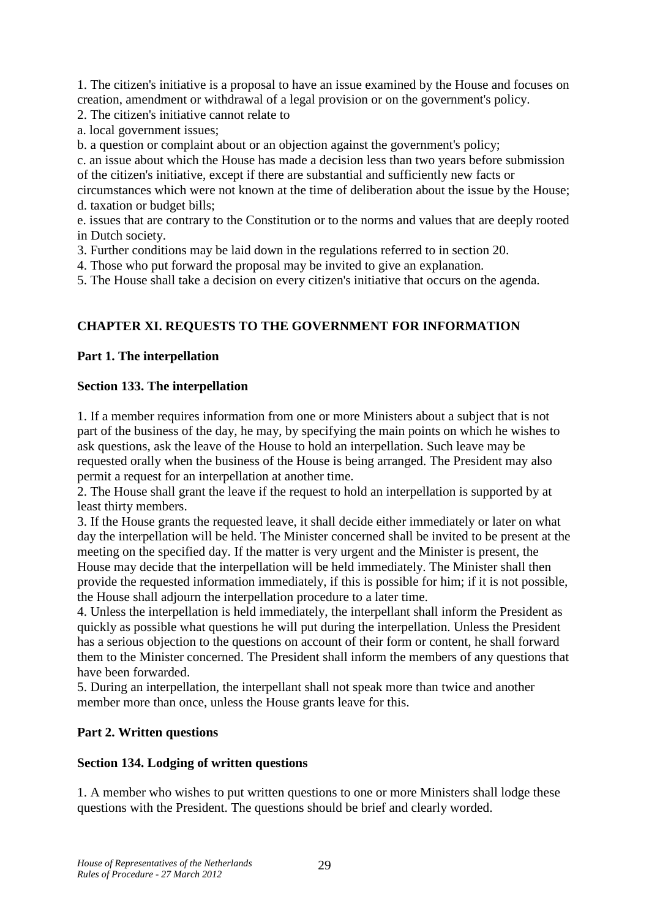1. The citizen's initiative is a proposal to have an issue examined by the House and focuses on creation, amendment or withdrawal of a legal provision or on the government's policy.

2. The citizen's initiative cannot relate to

a. local government issues;

b. a question or complaint about or an objection against the government's policy;

c. an issue about which the House has made a decision less than two years before submission of the citizen's initiative, except if there are substantial and sufficiently new facts or

circumstances which were not known at the time of deliberation about the issue by the House; d. taxation or budget bills;

e. issues that are contrary to the Constitution or to the norms and values that are deeply rooted in Dutch society.

3. Further conditions may be laid down in the regulations referred to in section 20.

4. Those who put forward the proposal may be invited to give an explanation.

5. The House shall take a decision on every citizen's initiative that occurs on the agenda.

## **CHAPTER XI. REQUESTS TO THE GOVERNMENT FOR INFORMATION**

### **Part 1. The interpellation**

#### **Section 133. The interpellation**

1. If a member requires information from one or more Ministers about a subject that is not part of the business of the day, he may, by specifying the main points on which he wishes to ask questions, ask the leave of the House to hold an interpellation. Such leave may be requested orally when the business of the House is being arranged. The President may also permit a request for an interpellation at another time.

2. The House shall grant the leave if the request to hold an interpellation is supported by at least thirty members.

3. If the House grants the requested leave, it shall decide either immediately or later on what day the interpellation will be held. The Minister concerned shall be invited to be present at the meeting on the specified day. If the matter is very urgent and the Minister is present, the House may decide that the interpellation will be held immediately. The Minister shall then provide the requested information immediately, if this is possible for him; if it is not possible, the House shall adjourn the interpellation procedure to a later time.

4. Unless the interpellation is held immediately, the interpellant shall inform the President as quickly as possible what questions he will put during the interpellation. Unless the President has a serious objection to the questions on account of their form or content, he shall forward them to the Minister concerned. The President shall inform the members of any questions that have been forwarded.

5. During an interpellation, the interpellant shall not speak more than twice and another member more than once, unless the House grants leave for this.

## **Part 2. Written questions**

## **Section 134. Lodging of written questions**

1. A member who wishes to put written questions to one or more Ministers shall lodge these questions with the President. The questions should be brief and clearly worded.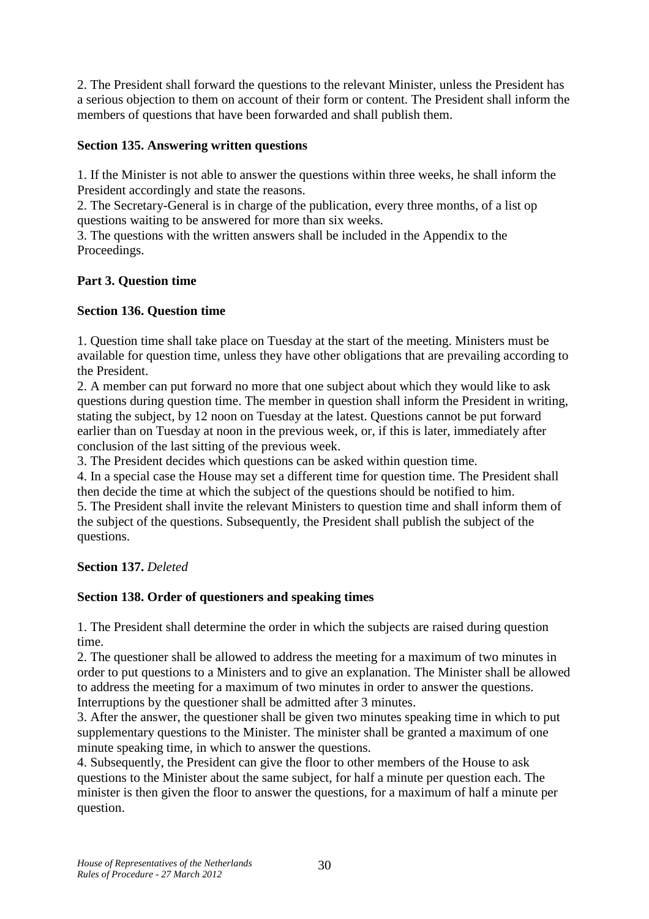2. The President shall forward the questions to the relevant Minister, unless the President has a serious objection to them on account of their form or content. The President shall inform the members of questions that have been forwarded and shall publish them.

### **Section 135. Answering written questions**

1. If the Minister is not able to answer the questions within three weeks, he shall inform the President accordingly and state the reasons.

2. The Secretary-General is in charge of the publication, every three months, of a list op questions waiting to be answered for more than six weeks.

3. The questions with the written answers shall be included in the Appendix to the Proceedings.

### **Part 3. Question time**

### **Section 136. Question time**

1. Question time shall take place on Tuesday at the start of the meeting. Ministers must be available for question time, unless they have other obligations that are prevailing according to the President.

2. A member can put forward no more that one subject about which they would like to ask questions during question time. The member in question shall inform the President in writing, stating the subject, by 12 noon on Tuesday at the latest. Questions cannot be put forward earlier than on Tuesday at noon in the previous week, or, if this is later, immediately after conclusion of the last sitting of the previous week.

3. The President decides which questions can be asked within question time.

4. In a special case the House may set a different time for question time. The President shall then decide the time at which the subject of the questions should be notified to him.

5. The President shall invite the relevant Ministers to question time and shall inform them of the subject of the questions. Subsequently, the President shall publish the subject of the questions.

## **Section 137.** *Deleted*

## **Section 138. Order of questioners and speaking times**

1. The President shall determine the order in which the subjects are raised during question time.

2. The questioner shall be allowed to address the meeting for a maximum of two minutes in order to put questions to a Ministers and to give an explanation. The Minister shall be allowed to address the meeting for a maximum of two minutes in order to answer the questions. Interruptions by the questioner shall be admitted after 3 minutes.

3. After the answer, the questioner shall be given two minutes speaking time in which to put supplementary questions to the Minister. The minister shall be granted a maximum of one minute speaking time, in which to answer the questions.

4. Subsequently, the President can give the floor to other members of the House to ask questions to the Minister about the same subject, for half a minute per question each. The minister is then given the floor to answer the questions, for a maximum of half a minute per question.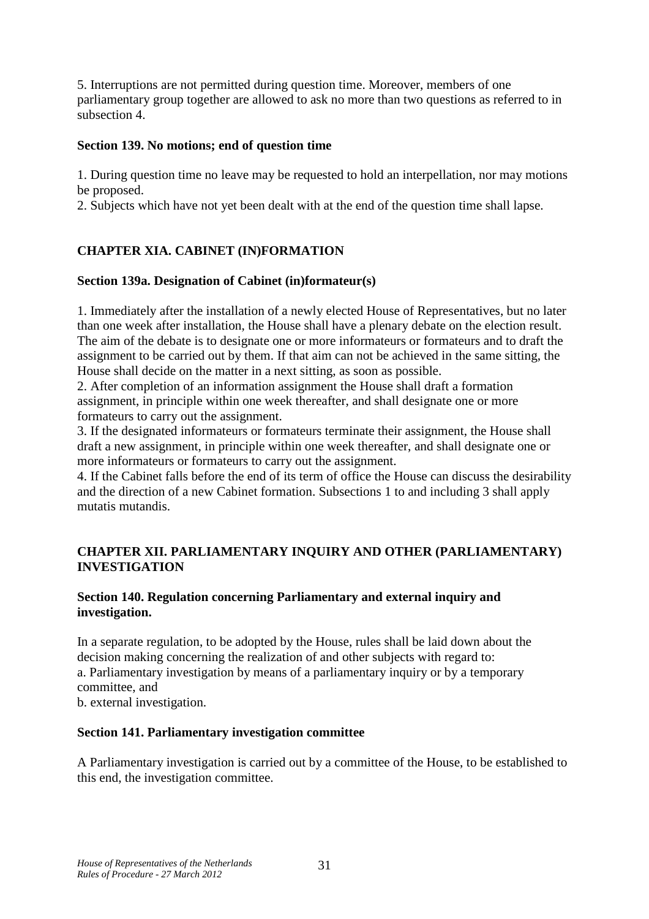5. Interruptions are not permitted during question time. Moreover, members of one parliamentary group together are allowed to ask no more than two questions as referred to in subsection 4.

#### **Section 139. No motions; end of question time**

1. During question time no leave may be requested to hold an interpellation, nor may motions be proposed.

2. Subjects which have not yet been dealt with at the end of the question time shall lapse.

## **CHAPTER XIA. CABINET (IN)FORMATION**

#### **Section 139a. Designation of Cabinet (in)formateur(s)**

1. Immediately after the installation of a newly elected House of Representatives, but no later than one week after installation, the House shall have a plenary debate on the election result. The aim of the debate is to designate one or more informateurs or formateurs and to draft the assignment to be carried out by them. If that aim can not be achieved in the same sitting, the House shall decide on the matter in a next sitting, as soon as possible.

2. After completion of an information assignment the House shall draft a formation assignment, in principle within one week thereafter, and shall designate one or more formateurs to carry out the assignment.

3. If the designated informateurs or formateurs terminate their assignment, the House shall draft a new assignment, in principle within one week thereafter, and shall designate one or more informateurs or formateurs to carry out the assignment.

4. If the Cabinet falls before the end of its term of office the House can discuss the desirability and the direction of a new Cabinet formation. Subsections 1 to and including 3 shall apply mutatis mutandis.

#### **CHAPTER XII. PARLIAMENTARY INQUIRY AND OTHER (PARLIAMENTARY) INVESTIGATION**

#### **Section 140. Regulation concerning Parliamentary and external inquiry and investigation.**

In a separate regulation, to be adopted by the House, rules shall be laid down about the decision making concerning the realization of and other subjects with regard to: a. Parliamentary investigation by means of a parliamentary inquiry or by a temporary committee, and

b. external investigation.

#### **Section 141. Parliamentary investigation committee**

A Parliamentary investigation is carried out by a committee of the House, to be established to this end, the investigation committee.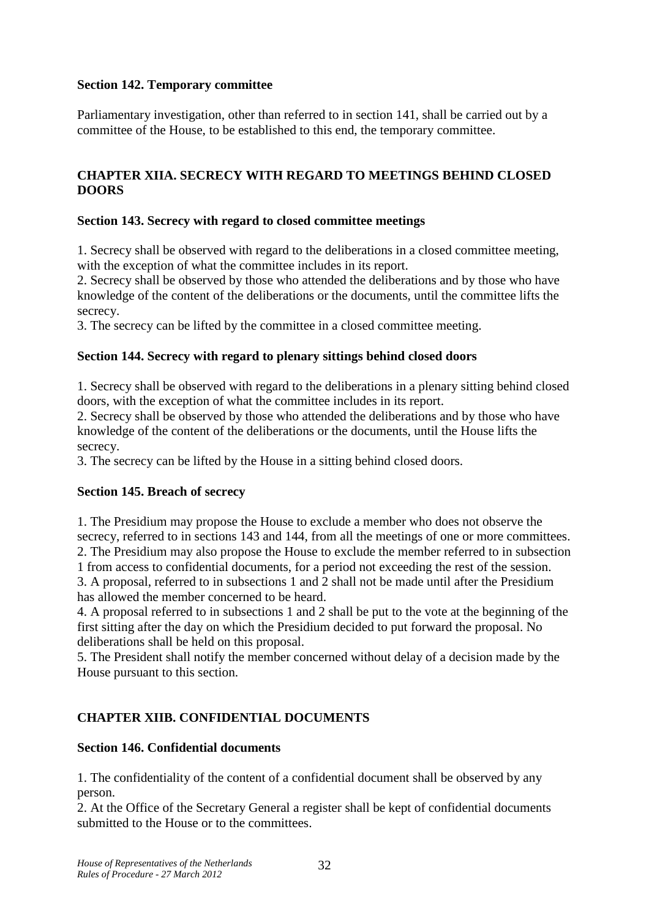### **Section 142. Temporary committee**

Parliamentary investigation, other than referred to in section 141, shall be carried out by a committee of the House, to be established to this end, the temporary committee.

### **CHAPTER XIIA. SECRECY WITH REGARD TO MEETINGS BEHIND CLOSED DOORS**

### **Section 143. Secrecy with regard to closed committee meetings**

1. Secrecy shall be observed with regard to the deliberations in a closed committee meeting, with the exception of what the committee includes in its report.

2. Secrecy shall be observed by those who attended the deliberations and by those who have knowledge of the content of the deliberations or the documents, until the committee lifts the secrecy.

3. The secrecy can be lifted by the committee in a closed committee meeting.

### **Section 144. Secrecy with regard to plenary sittings behind closed doors**

1. Secrecy shall be observed with regard to the deliberations in a plenary sitting behind closed doors, with the exception of what the committee includes in its report.

2. Secrecy shall be observed by those who attended the deliberations and by those who have knowledge of the content of the deliberations or the documents, until the House lifts the secrecy.

3. The secrecy can be lifted by the House in a sitting behind closed doors.

#### **Section 145. Breach of secrecy**

1. The Presidium may propose the House to exclude a member who does not observe the secrecy, referred to in sections 143 and 144, from all the meetings of one or more committees. 2. The Presidium may also propose the House to exclude the member referred to in subsection 1 from access to confidential documents, for a period not exceeding the rest of the session.

3. A proposal, referred to in subsections 1 and 2 shall not be made until after the Presidium has allowed the member concerned to be heard.

4. A proposal referred to in subsections 1 and 2 shall be put to the vote at the beginning of the first sitting after the day on which the Presidium decided to put forward the proposal. No deliberations shall be held on this proposal.

5. The President shall notify the member concerned without delay of a decision made by the House pursuant to this section.

## **CHAPTER XIIB. CONFIDENTIAL DOCUMENTS**

#### **Section 146. Confidential documents**

1. The confidentiality of the content of a confidential document shall be observed by any person.

2. At the Office of the Secretary General a register shall be kept of confidential documents submitted to the House or to the committees.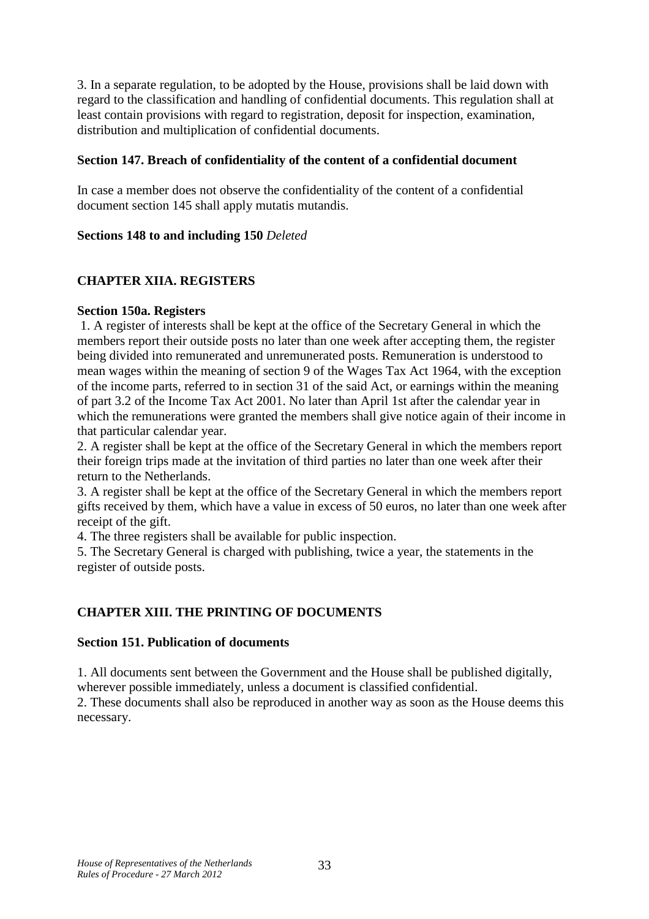3. In a separate regulation, to be adopted by the House, provisions shall be laid down with regard to the classification and handling of confidential documents. This regulation shall at least contain provisions with regard to registration, deposit for inspection, examination, distribution and multiplication of confidential documents.

### **Section 147. Breach of confidentiality of the content of a confidential document**

In case a member does not observe the confidentiality of the content of a confidential document section 145 shall apply mutatis mutandis.

#### **Sections 148 to and including 150** *Deleted*

## **CHAPTER XIIA. REGISTERS**

#### **Section 150a. Registers**

 1. A register of interests shall be kept at the office of the Secretary General in which the members report their outside posts no later than one week after accepting them, the register being divided into remunerated and unremunerated posts. Remuneration is understood to mean wages within the meaning of section 9 of the Wages Tax Act 1964, with the exception of the income parts, referred to in section 31 of the said Act, or earnings within the meaning of part 3.2 of the Income Tax Act 2001. No later than April 1st after the calendar year in which the remunerations were granted the members shall give notice again of their income in that particular calendar year.

2. A register shall be kept at the office of the Secretary General in which the members report their foreign trips made at the invitation of third parties no later than one week after their return to the Netherlands.

3. A register shall be kept at the office of the Secretary General in which the members report gifts received by them, which have a value in excess of 50 euros, no later than one week after receipt of the gift.

4. The three registers shall be available for public inspection.

5. The Secretary General is charged with publishing, twice a year, the statements in the register of outside posts.

## **CHAPTER XIII. THE PRINTING OF DOCUMENTS**

#### **Section 151. Publication of documents**

1. All documents sent between the Government and the House shall be published digitally, wherever possible immediately, unless a document is classified confidential.

2. These documents shall also be reproduced in another way as soon as the House deems this necessary.